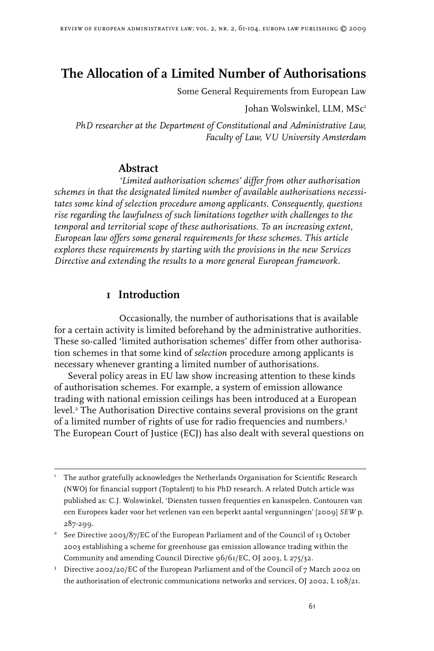# **The Allocation of a Limited Number of Authorisations**

Some General Requirements from European Law

Johan Wolswinkel, LLM, MSc

*PhD researcher at the Department of Constitutional and Administrative Law, Faculty of Law, VU University Amsterdam*

### **Abstract**

*'Limited authorisation schemes' differ from other authorisation schemes in that the designated limited number of available authorisations necessitates some kind of selection procedure among applicants. Consequently, questions rise regarding the lawfulness of such limitations together with challenges to the temporal and territorial scope of these authorisations. To an increasing extent, European law offers some general requirements for these schemes. This article explores these requirements by starting with the provisions in the new Services Directive and extending the results to a more general European framework.*

# **1 Introduction**

Occasionally, the number of authorisations that is available for a certain activity is limited beforehand by the administrative authorities. These so-called 'limited authorisation schemes' differ from other authorisation schemes in that some kind of *selection* procedure among applicants is necessary whenever granting a limited number of authorisations.

Several policy areas in EU law show increasing attention to these kinds of authorisation schemes. For example, a system of emission allowance trading with national emission ceilings has been introduced at a European level. The Authorisation Directive contains several provisions on the grant of a limited number of rights of use for radio frequencies and numbers. The European Court of Justice (ECJ) has also dealt with several questions on

I The author gratefully acknowledges the Netherlands Organisation for Scientific Research (NWO) for financial support (Toptalent) to his PhD research. A related Dutch article was published as: C.J. Wolswinkel, 'Diensten tussen frequenties en kansspelen. Contouren van een Europees kader voor het verlenen van een beperkt aantal vergunningen' [2009] *SEW* p. 287-299.

<sup>&</sup>lt;sup>2</sup> See Directive 2003/87/EC of the European Parliament and of the Council of 13 October 2003 establishing a scheme for greenhouse gas emission allowance trading within the Community and amending Council Directive 96/61/EC, OJ 2003, L 275/32.

<sup>&</sup>lt;sup>3</sup> Directive 2002/20/EC of the European Parliament and of the Council of 7 March 2002 on the authorisation of electronic communications networks and services, OJ 2002, L 108/21.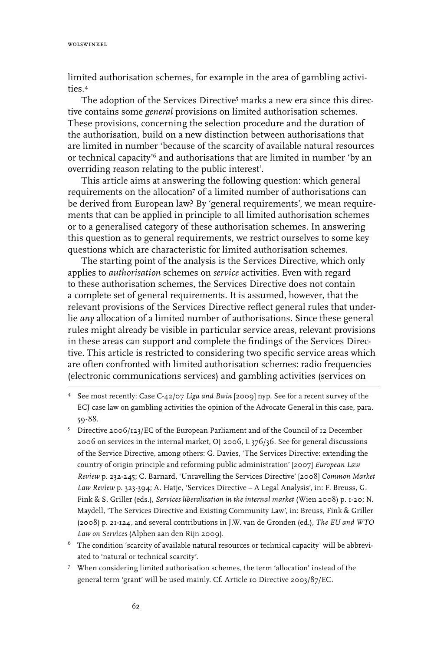wolswinkel

limited authorisation schemes, for example in the area of gambling activities.<sup>4</sup>

The adoption of the Services Directive<sup>5</sup> marks a new era since this directive contains some *general* provisions on limited authorisation schemes. These provisions, concerning the selection procedure and the duration of the authorisation, build on a new distinction between authorisations that are limited in number 'because of the scarcity of available natural resources or technical capacity'<sup>6</sup> and authorisations that are limited in number 'by an overriding reason relating to the public interest'.

This article aims at answering the following question: which general requirements on the allocation<sup>7</sup> of a limited number of authorisations can be derived from European law? By 'general requirements', we mean requirements that can be applied in principle to all limited authorisation schemes or to a generalised category of these authorisation schemes. In answering this question as to general requirements, we restrict ourselves to some key questions which are characteristic for limited authorisation schemes.

The starting point of the analysis is the Services Directive, which only applies to *authorisation* schemes on *service* activities. Even with regard to these authorisation schemes, the Services Directive does not contain a complete set of general requirements. It is assumed, however, that the relevant provisions of the Services Directive reflect general rules that underlie *any* allocation of a limited number of authorisations. Since these general rules might already be visible in particular service areas, relevant provisions in these areas can support and complete the findings of the Services Directive. This article is restricted to considering two specific service areas which are often confronted with limited authorisation schemes: radio frequencies (electronic communications services) and gambling activities (services on

- <sup>5</sup> Directive 2006/123/EC of the European Parliament and of the Council of 12 December 2006 on services in the internal market, OJ 2006, L 376/36. See for general discussions of the Service Directive, among others: G. Davies, 'The Services Directive: extending the country of origin principle and reforming public administration' [2007] *European Law Review* p. 232-245; C. Barnard, 'Unravelling the Services Directive' [2008] *Common Market Law Review* p. 323-394; A. Hatje, 'Services Directive – A Legal Analysis', in: F. Breuss, G. Fink & S. Griller (eds.), *Services liberalisation in the internal market* (Wien 2008) p. 1-20; N. Maydell, 'The Services Directive and Existing Community Law', in: Breuss, Fink & Griller (2008) p. 21-124, and several contributions in J.W. van de Gronden (ed.), *The EU and WTO Law on Services* (Alphen aan den Rijn 2009).
- <sup>6</sup> The condition 'scarcity of available natural resources or technical capacity' will be abbreviated to 'natural or technical scarcity'.
- When considering limited authorisation schemes, the term 'allocation' instead of the general term 'grant' will be used mainly. Cf. Article 10 Directive 2003/87/EC.

 $\overline{4}$  See most recently: Case C-42/07 *Liga and Bwin* [2009] nyp. See for a recent survey of the ECJ case law on gambling activities the opinion of the Advocate General in this case, para. 59-88.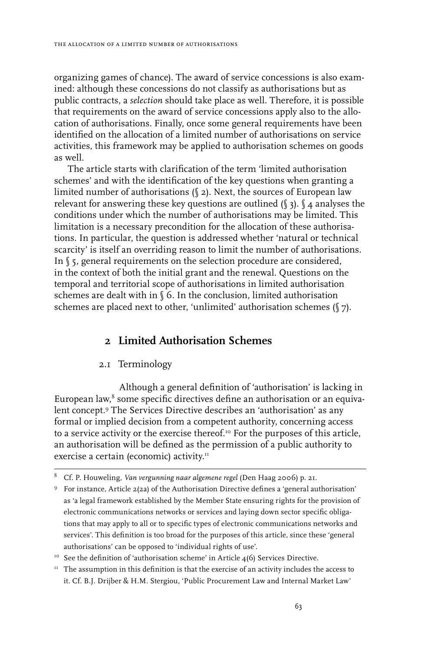organizing games of chance). The award of service concessions is also examined: although these concessions do not classify as authorisations but as public contracts, a *selection* should take place as well. Therefore, it is possible that requirements on the award of service concessions apply also to the allocation of authorisations. Finally, once some general requirements have been identified on the allocation of a limited number of authorisations on service activities, this framework may be applied to authorisation schemes on goods as well.

The article starts with clarification of the term 'limited authorisation schemes' and with the identification of the key questions when granting a limited number of authorisations (§ 2). Next, the sources of European law relevant for answering these key questions are outlined  $(\S 3)$ .  $\S 4$  analyses the conditions under which the number of authorisations may be limited. This limitation is a necessary precondition for the allocation of these authorisations. In particular, the question is addressed whether 'natural or technical scarcity' is itself an overriding reason to limit the number of authorisations. In  $\int$  5, general requirements on the selection procedure are considered, in the context of both the initial grant and the renewal. Questions on the temporal and territorial scope of authorisations in limited authorisation schemes are dealt with in § 6. In the conclusion, limited authorisation schemes are placed next to other, 'unlimited' authorisation schemes (§ 7).

# **2 Limited Authorisation Schemes**

### 2.1 Terminology

Although a general definition of 'authorisation' is lacking in European law, $<sup>8</sup>$  some specific directives define an authorisation or an equiva-</sup> lent concept.<sup>9</sup> The Services Directive describes an 'authorisation' as any formal or implied decision from a competent authority, concerning access to a service activity or the exercise thereof.<sup>10</sup> For the purposes of this article, an authorisation will be defined as the permission of a public authority to exercise a certain (economic) activity.<sup>11</sup>

 $11$  The assumption in this definition is that the exercise of an activity includes the access to it. Cf. B.J. Drijber & H.M. Stergiou, 'Public Procurement Law and Internal Market Law'

Cf. P. Houweling, *Van vergunning naar algemene regel* (Den Haag 2006) p. 21.

For instance, Article 2(2a) of the Authorisation Directive defines a 'general authorisation' as 'a legal framework established by the Member State ensuring rights for the provision of electronic communications networks or services and laying down sector specific obligations that may apply to all or to specific types of electronic communications networks and services'. This definition is too broad for the purposes of this article, since these 'general authorisations' can be opposed to 'individual rights of use'.

 $10<sup>10</sup>$  See the definition of 'authorisation scheme' in Article 4(6) Services Directive.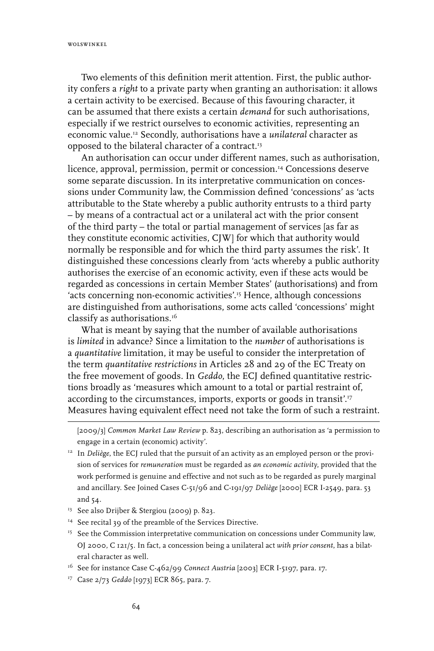Two elements of this definition merit attention. First, the public authority confers a *right* to a private party when granting an authorisation: it allows a certain activity to be exercised. Because of this favouring character, it can be assumed that there exists a certain *demand* for such authorisations, especially if we restrict ourselves to economic activities, representing an economic value.12 Secondly, authorisations have a *unilateral* character as opposed to the bilateral character of a contract.13

An authorisation can occur under different names, such as authorisation, licence, approval, permission, permit or concession.<sup>14</sup> Concessions deserve some separate discussion. In its interpretative communication on concessions under Community law, the Commission defined 'concessions' as 'acts attributable to the State whereby a public authority entrusts to a third party – by means of a contractual act or a unilateral act with the prior consent of the third party – the total or partial management of services [as far as they constitute economic activities, CJW] for which that authority would normally be responsible and for which the third party assumes the risk'. It distinguished these concessions clearly from 'acts whereby a public authority authorises the exercise of an economic activity, even if these acts would be regarded as concessions in certain Member States' (authorisations) and from 'acts concerning non-economic activities'.<sup>15</sup> Hence, although concessions are distinguished from authorisations, some acts called 'concessions' might classify as authorisations.16

What is meant by saying that the number of available authorisations is *limited* in advance? Since a limitation to the *number* of authorisations is a *quantitative* limitation, it may be useful to consider the interpretation of the term *quantitative restrictions* in Articles 28 and 29 of the EC Treaty on the free movement of goods. In *Geddo*, the ECJ defined quantitative restrictions broadly as 'measures which amount to a total or partial restraint of, according to the circumstances, imports, exports or goods in transit<sup>'.17</sup> Measures having equivalent effect need not take the form of such a restraint.

[2009/3] *Common Market Law Review* p. 823, describing an authorisation as 'a permission to engage in a certain (economic) activity'.

- <sup>12</sup> In *Deliège*, the ECJ ruled that the pursuit of an activity as an employed person or the provision of services for *remuneration* must be regarded as *an economic activity*, provided that the work performed is genuine and effective and not such as to be regarded as purely marginal and ancillary. See Joined Cases C-51/96 and C-191/97 *Deliège* [2000] ECR I-2549, para. 53 and 54.
- <sup>13</sup> See also Drijber & Stergiou (2009) p. 823.
- <sup>14</sup> See recital 39 of the preamble of the Services Directive.
- <sup>15</sup> See the Commission interpretative communication on concessions under Community law, OJ 2000, C 121/5. In fact, a concession being a unilateral act *with prior consent*, has a bilateral character as well.

<sup>16</sup> See for instance Case C-462/99 *Connect Austria* [2003] ECR I-5197, para. 17.

17 Case 2/73 *Geddo* [1973] ECR 865, para. 7.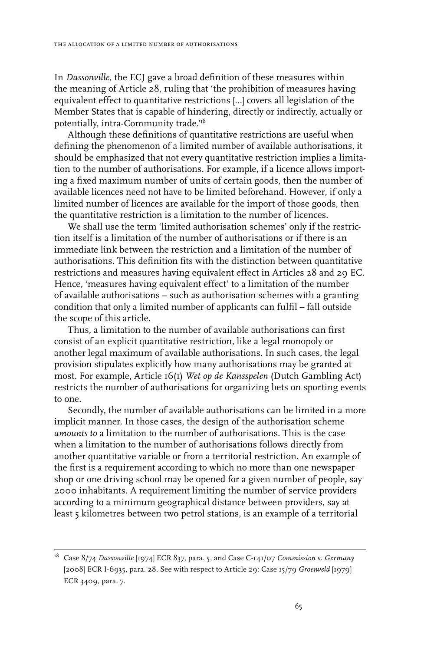In *Dassonville*, the ECJ gave a broad definition of these measures within the meaning of Article 28, ruling that 'the prohibition of measures having equivalent effect to quantitative restrictions […] covers all legislation of the Member States that is capable of hindering, directly or indirectly, actually or potentially, intra-Community trade.'18

Although these definitions of quantitative restrictions are useful when defining the phenomenon of a limited number of available authorisations, it should be emphasized that not every quantitative restriction implies a limitation to the number of authorisations. For example, if a licence allows importing a fixed maximum number of units of certain goods, then the number of available licences need not have to be limited beforehand. However, if only a limited number of licences are available for the import of those goods, then the quantitative restriction is a limitation to the number of licences.

We shall use the term 'limited authorisation schemes' only if the restriction itself is a limitation of the number of authorisations or if there is an immediate link between the restriction and a limitation of the number of authorisations. This definition fits with the distinction between quantitative restrictions and measures having equivalent effect in Articles 28 and 29 EC. Hence, 'measures having equivalent effect' to a limitation of the number of available authorisations – such as authorisation schemes with a granting condition that only a limited number of applicants can fulfil – fall outside the scope of this article.

Thus, a limitation to the number of available authorisations can first consist of an explicit quantitative restriction, like a legal monopoly or another legal maximum of available authorisations. In such cases, the legal provision stipulates explicitly how many authorisations may be granted at most. For example, Article 16(1) *Wet op de Kansspelen* (Dutch Gambling Act) restricts the number of authorisations for organizing bets on sporting events to one.

Secondly, the number of available authorisations can be limited in a more implicit manner. In those cases, the design of the authorisation scheme *amounts to* a limitation to the number of authorisations. This is the case when a limitation to the number of authorisations follows directly from another quantitative variable or from a territorial restriction. An example of the first is a requirement according to which no more than one newspaper shop or one driving school may be opened for a given number of people, say 2000 inhabitants. A requirement limiting the number of service providers according to a minimum geographical distance between providers, say at least 5 kilometres between two petrol stations, is an example of a territorial

<sup>18</sup> Case 8/74 *Dassonville* [1974] ECR 837, para. 5, and Case C-141/07 *Commission* v. *Germany* [2008] ECR I-6935, para. 28. See with respect to Article 29: Case 15/79 *Groenveld* [1979] ECR 3409, para. 7.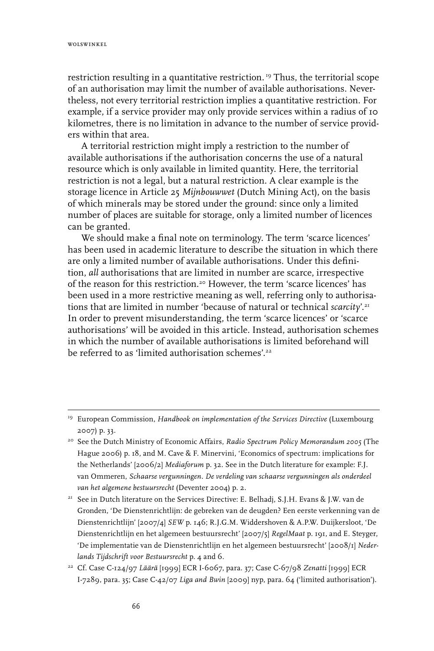restriction resulting in a quantitative restriction. 19 Thus, the territorial scope of an authorisation may limit the number of available authorisations. Nevertheless, not every territorial restriction implies a quantitative restriction. For example, if a service provider may only provide services within a radius of 10 kilometres, there is no limitation in advance to the number of service providers within that area.

A territorial restriction might imply a restriction to the number of available authorisations if the authorisation concerns the use of a natural resource which is only available in limited quantity. Here, the territorial restriction is not a legal, but a natural restriction. A clear example is the storage licence in Article 25 *Mijnbouwwet* (Dutch Mining Act), on the basis of which minerals may be stored under the ground: since only a limited number of places are suitable for storage, only a limited number of licences can be granted.

We should make a final note on terminology. The term 'scarce licences' has been used in academic literature to describe the situation in which there are only a limited number of available authorisations. Under this definition, *all* authorisations that are limited in number are scarce, irrespective of the reason for this restriction.<sup>20</sup> However, the term 'scarce licences' has been used in a more restrictive meaning as well, referring only to authorisations that are limited in number 'because of natural or technical *scarcity*'.21 In order to prevent misunderstanding, the term 'scarce licences' or 'scarce authorisations' will be avoided in this article. Instead, authorisation schemes in which the number of available authorisations is limited beforehand will be referred to as 'limited authorisation schemes'<sup>22</sup>

<sup>&</sup>lt;sup>19</sup> European Commission, *Handbook on implementation of the Services Directive* (Luxembourg 2007) p. 33.

<sup>20</sup> See the Dutch Ministry of Economic Affairs, *Radio Spectrum Policy Memorandum 2005* (The Hague 2006) p. 18, and M. Cave & F. Minervini, 'Economics of spectrum: implications for the Netherlands' [2006/2] *Mediaforum* p. 32. See in the Dutch literature for example: F.J. van Ommeren, *Schaarse vergunningen. De verdeling van schaarse vergunningen als onderdeel van het algemene bestuursrecht* (Deventer 2004) p. 2.

<sup>&</sup>lt;sup>21</sup> See in Dutch literature on the Services Directive: E. Belhadj, S.J.H. Evans & J.W. van de Gronden, 'De Dienstenrichtlijn: de gebreken van de deugden? Een eerste verkenning van de Dienstenrichtlijn' [2007/4] *SEW* p. 146; R.J.G.M. Widdershoven & A.P.W. Duijkersloot, 'De Dienstenrichtlijn en het algemeen bestuursrecht' [2007/5] *RegelMaat* p. 191, and E. Steyger, 'De implementatie van de Dienstenrichtlijn en het algemeen bestuursrecht' [2008/1] *Nederlands Tijdschrift voor Bestuursrecht* p. 4 and 6.

<sup>22</sup> Cf. Case C-124/97 *Läärä* [1999] ECR I-6067, para. 37; Case C-67/98 *Zenatti* [1999] ECR I-7289, para. 35; Case C-42/07 *Liga and Bwin* [2009] nyp, para. 64 ('limited authorisation').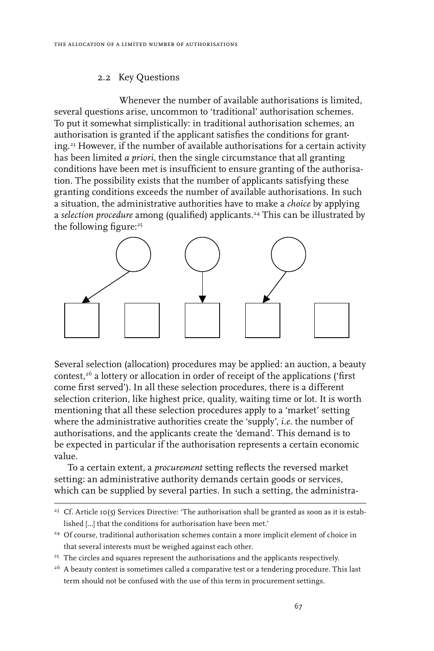#### 2.2 Key Questions

Whenever the number of available authorisations is limited, several questions arise, uncommon to 'traditional' authorisation schemes. To put it somewhat simplistically: in traditional authorisation schemes, an authorisation is granted if the applicant satisfies the conditions for granting.23 However, if the number of available authorisations for a certain activity has been limited *a priori*, then the single circumstance that all granting conditions have been met is insufficient to ensure granting of the authorisation. The possibility exists that the number of applicants satisfying these granting conditions exceeds the number of available authorisations. In such a situation, the administrative authorities have to make a *choice* by applying a *selection procedure* among (qualified) applicants.<sup>24</sup> This can be illustrated by the following figure:<sup>25</sup>



Several selection (allocation) procedures may be applied: an auction, a beauty contest,<sup>26</sup> a lottery or allocation in order of receipt of the applications ('first come first served'). In all these selection procedures, there is a different selection criterion, like highest price, quality, waiting time or lot. It is worth mentioning that all these selection procedures apply to a 'market' setting where the administrative authorities create the 'supply', *i.e.* the number of authorisations, and the applicants create the 'demand'. This demand is to be expected in particular if the authorisation represents a certain economic value.

To a certain extent, a *procurement* setting reflects the reversed market setting: an administrative authority demands certain goods or services, which can be supplied by several parties. In such a setting, the administra-

<sup>&</sup>lt;sup>23</sup> Cf. Article 10(5) Services Directive: 'The authorisation shall be granted as soon as it is established […] that the conditions for authorisation have been met.'

<sup>&</sup>lt;sup>24</sup> Of course, traditional authorisation schemes contain a more implicit element of choice in that several interests must be weighed against each other.

<sup>&</sup>lt;sup>25</sup> The circles and squares represent the authorisations and the applicants respectively.

<sup>&</sup>lt;sup>26</sup> A beauty contest is sometimes called a comparative test or a tendering procedure. This last term should not be confused with the use of this term in procurement settings.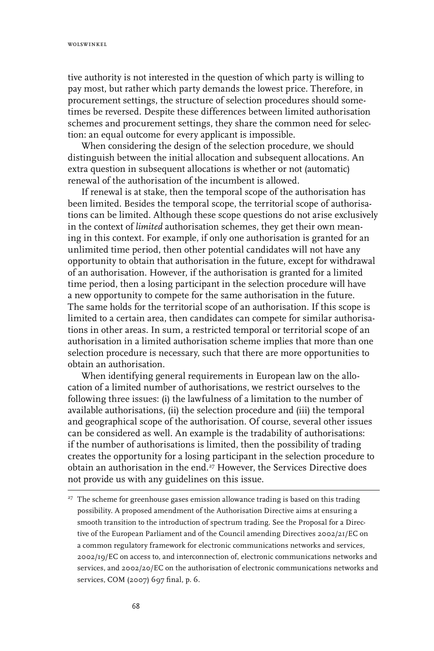tive authority is not interested in the question of which party is willing to pay most, but rather which party demands the lowest price. Therefore, in procurement settings, the structure of selection procedures should sometimes be reversed. Despite these differences between limited authorisation schemes and procurement settings, they share the common need for selection: an equal outcome for every applicant is impossible.

When considering the design of the selection procedure, we should distinguish between the initial allocation and subsequent allocations. An extra question in subsequent allocations is whether or not (automatic) renewal of the authorisation of the incumbent is allowed.

If renewal is at stake, then the temporal scope of the authorisation has been limited. Besides the temporal scope, the territorial scope of authorisations can be limited. Although these scope questions do not arise exclusively in the context of *limited* authorisation schemes, they get their own meaning in this context. For example, if only one authorisation is granted for an unlimited time period, then other potential candidates will not have any opportunity to obtain that authorisation in the future, except for withdrawal of an authorisation. However, if the authorisation is granted for a limited time period, then a losing participant in the selection procedure will have a new opportunity to compete for the same authorisation in the future. The same holds for the territorial scope of an authorisation. If this scope is limited to a certain area, then candidates can compete for similar authorisations in other areas. In sum, a restricted temporal or territorial scope of an authorisation in a limited authorisation scheme implies that more than one selection procedure is necessary, such that there are more opportunities to obtain an authorisation.

When identifying general requirements in European law on the allocation of a limited number of authorisations, we restrict ourselves to the following three issues: (i) the lawfulness of a limitation to the number of available authorisations, (ii) the selection procedure and (iii) the temporal and geographical scope of the authorisation. Of course, several other issues can be considered as well. An example is the tradability of authorisations: if the number of authorisations is limited, then the possibility of trading creates the opportunity for a losing participant in the selection procedure to obtain an authorisation in the end.<sup>27</sup> However, the Services Directive does not provide us with any guidelines on this issue.

<sup>&</sup>lt;sup>27</sup> The scheme for greenhouse gases emission allowance trading is based on this trading possibility. A proposed amendment of the Authorisation Directive aims at ensuring a smooth transition to the introduction of spectrum trading. See the Proposal for a Directive of the European Parliament and of the Council amending Directives 2002/21/EC on a common regulatory framework for electronic communications networks and services, 2002/19/EC on access to, and interconnection of, electronic communications networks and services, and 2002/20/EC on the authorisation of electronic communications networks and services, COM (2007) 697 final, p. 6.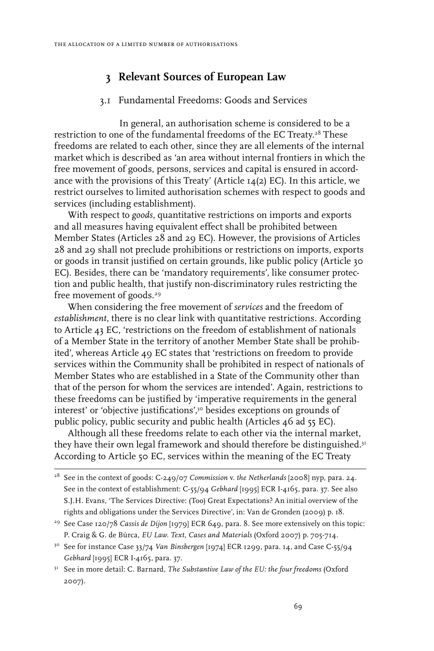# **3 Relevant Sources of European Law**

### 3.1 Fundamental Freedoms: Goods and Services

In general, an authorisation scheme is considered to be a restriction to one of the fundamental freedoms of the EC Treaty.<sup>28</sup> These freedoms are related to each other, since they are all elements of the internal market which is described as 'an area without internal frontiers in which the free movement of goods, persons, services and capital is ensured in accordance with the provisions of this Treaty' (Article 14(2) EC). In this article, we restrict ourselves to limited authorisation schemes with respect to goods and services (including establishment).

With respect to *goods*, quantitative restrictions on imports and exports and all measures having equivalent effect shall be prohibited between Member States (Articles 28 and 29 EC). However, the provisions of Articles 28 and 29 shall not preclude prohibitions or restrictions on imports, exports or goods in transit justified on certain grounds, like public policy (Article 30 EC). Besides, there can be 'mandatory requirements', like consumer protection and public health, that justify non-discriminatory rules restricting the free movement of goods.<sup>29</sup>

When considering the free movement of *services* and the freedom of *establishment*, there is no clear link with quantitative restrictions. According to Article 43 EC, 'restrictions on the freedom of establishment of nationals of a Member State in the territory of another Member State shall be prohibited', whereas Article 49 EC states that 'restrictions on freedom to provide services within the Community shall be prohibited in respect of nationals of Member States who are established in a State of the Community other than that of the person for whom the services are intended'. Again, restrictions to these freedoms can be justified by 'imperative requirements in the general interest' or 'objective justifications',<sup>30</sup> besides exceptions on grounds of public policy, public security and public health (Articles 46 ad 55 EC).

Although all these freedoms relate to each other via the internal market, they have their own legal framework and should therefore be distinguished.<sup>31</sup> According to Article 50 EC, services within the meaning of the EC Treaty

<sup>28</sup> See in the context of goods: C-249/07 *Commission* v. *the Netherlands* [2008] nyp, para. 24. See in the context of establishment: C-55/94 *Gebhard* [1995] ECR I-4165, para. 37. See also S.J.H. Evans, 'The Services Directive: (Too) Great Expectations? An initial overview of the rights and obligations under the Services Directive', in: Van de Gronden (2009) p. 18.

<sup>29</sup> See Case 120/78 *Cassis de Dijon* [1979] ECR 649, para. 8. See more extensively on this topic: P. Craig & G. de Búrca, *EU Law. Text, Cases and Materials* (Oxford 2007) p. 705-714.

<sup>30</sup> See for instance Case 33/74 *Van Binsbergen* [1974] ECR 1299, para. 14, and Case C-55/94 *Gebhard* [1995] ECR I-4165, para. 37.

<sup>31</sup> See in more detail: C. Barnard, *The Substantive Law of the EU: the four freedoms* (Oxford 2007).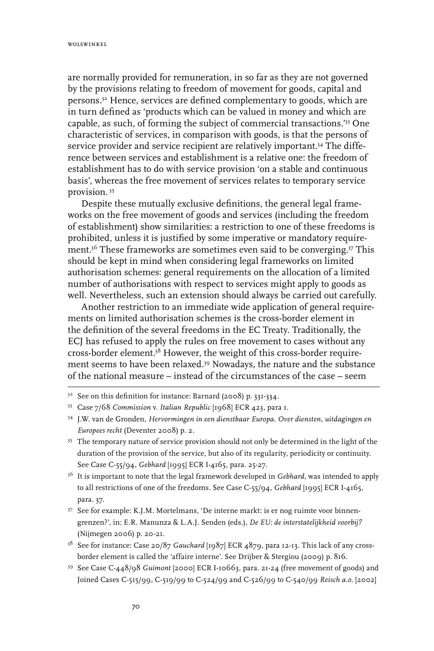are normally provided for remuneration, in so far as they are not governed by the provisions relating to freedom of movement for goods, capital and persons.32 Hence, services are defined complementary to goods, which are in turn defined as 'products which can be valued in money and which are capable, as such, of forming the subject of commercial transactions.'33 One characteristic of services, in comparison with goods, is that the persons of service provider and service recipient are relatively important.<sup>34</sup> The difference between services and establishment is a relative one: the freedom of establishment has to do with service provision 'on a stable and continuous basis', whereas the free movement of services relates to temporary service provision. <sup>35</sup>

Despite these mutually exclusive definitions, the general legal frameworks on the free movement of goods and services (including the freedom of establishment) show similarities: a restriction to one of these freedoms is prohibited, unless it is justified by some imperative or mandatory requirement.36 These frameworks are sometimes even said to be converging.37 This should be kept in mind when considering legal frameworks on limited authorisation schemes: general requirements on the allocation of a limited number of authorisations with respect to services might apply to goods as well. Nevertheless, such an extension should always be carried out carefully.

Another restriction to an immediate wide application of general requirements on limited authorisation schemes is the cross-border element in the definition of the several freedoms in the EC Treaty. Traditionally, the ECJ has refused to apply the rules on free movement to cases without any cross-border element.38 However, the weight of this cross-border requirement seems to have been relaxed.39 Nowadays, the nature and the substance of the national measure – instead of the circumstances of the case – seem

<sup>35</sup> The temporary nature of service provision should not only be determined in the light of the duration of the provision of the service, but also of its regularity, periodicity or continuity. See Case C-55/94, *Gebhard* [1995] ECR I-4165, para. 25-27.

- <sup>38</sup> See for instance: Case 20/87 *Gauchard* [1987] ECR 4879, para 12-13. This lack of any crossborder element is called the 'affaire interne'. See Drijber & Stergiou (2009) p. 816.
- 39 See Case C-448/98 *Guimont* [2000] ECR I-10663, para. 21-24 (free movement of goods) and Joined Cases C-515/99, C-519/99 to C-524/99 and C-526/99 to C-540/99 *Reisch a.o.* [2002]

<sup>&</sup>lt;sup>32</sup> See on this definition for instance: Barnard (2008) p. 331-334.

<sup>33</sup> Case 7/68 *Commission* v. *Italian Republic* [1968] ECR 423, para 1.

<sup>34</sup> J.W. van de Gronden, *Hervormingen in een dienstbaar Europa. Over diensten, uitdagingen en Europees recht* (Deventer 2008) p. 2.

<sup>&</sup>lt;sup>36</sup> It is important to note that the legal framework developed in *Gebhard*, was intended to apply to all restrictions of one of the freedoms. See Case C-55/94, *Gebhard* [1995] ECR I-4165, para. 37.

<sup>37</sup> See for example: K.J.M. Mortelmans, 'De interne markt: is er nog ruimte voor binnengrenzen?', in: E.R. Manunza & L.A.J. Senden (eds.), *De EU: de interstatelijkheid voorbij?* (Nijmegen 2006) p. 20-21.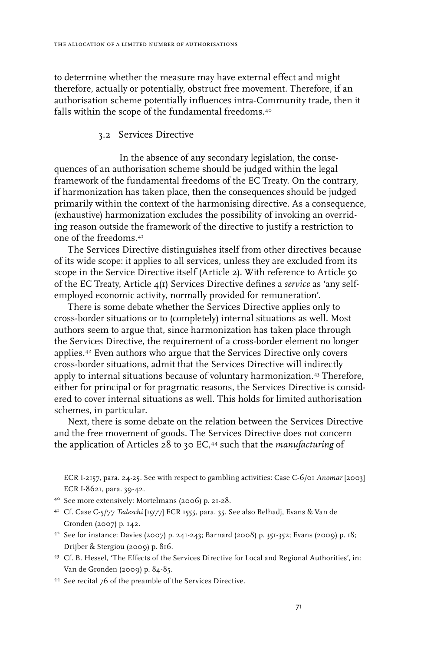to determine whether the measure may have external effect and might therefore, actually or potentially, obstruct free movement. Therefore, if an authorisation scheme potentially influences intra-Community trade, then it falls within the scope of the fundamental freedoms.<sup>40</sup>

#### 3.2 Services Directive

In the absence of any secondary legislation, the consequences of an authorisation scheme should be judged within the legal framework of the fundamental freedoms of the EC Treaty. On the contrary, if harmonization has taken place, then the consequences should be judged primarily within the context of the harmonising directive. As a consequence, (exhaustive) harmonization excludes the possibility of invoking an overriding reason outside the framework of the directive to justify a restriction to one of the freedoms.41

The Services Directive distinguishes itself from other directives because of its wide scope: it applies to all services, unless they are excluded from its scope in the Service Directive itself (Article 2). With reference to Article 50 of the EC Treaty, Article 4(1) Services Directive defines a *service* as 'any selfemployed economic activity, normally provided for remuneration'.

There is some debate whether the Services Directive applies only to cross-border situations or to (completely) internal situations as well. Most authors seem to argue that, since harmonization has taken place through the Services Directive, the requirement of a cross-border element no longer applies.42 Even authors who argue that the Services Directive only covers cross-border situations, admit that the Services Directive will indirectly apply to internal situations because of voluntary harmonization.43 Therefore, either for principal or for pragmatic reasons, the Services Directive is considered to cover internal situations as well. This holds for limited authorisation schemes, in particular.

Next, there is some debate on the relation between the Services Directive and the free movement of goods. The Services Directive does not concern the application of Articles 28 to 30 EC,<sup>44</sup> such that the *manufacturing* of

ECR I-2157, para. 24-25. See with respect to gambling activities: Case C-6/01 *Anomar* [2003] ECR I-8621, para. 39-42.

43 Cf. B. Hessel, 'The Effects of the Services Directive for Local and Regional Authorities', in: Van de Gronden (2009) p. 84-85.

44 See recital 76 of the preamble of the Services Directive.

<sup>40</sup> See more extensively: Mortelmans (2006) p. 21-28.

<sup>41</sup> Cf. Case C-5/77 *Tedeschi* [1977] ECR 1555, para. 35. See also Belhadj, Evans & Van de Gronden (2007) p. 142.

<sup>42</sup> See for instance: Davies (2007) p. 241-243; Barnard (2008) p. 351-352; Evans (2009) p. 18; Drijber & Stergiou (2009) p. 816.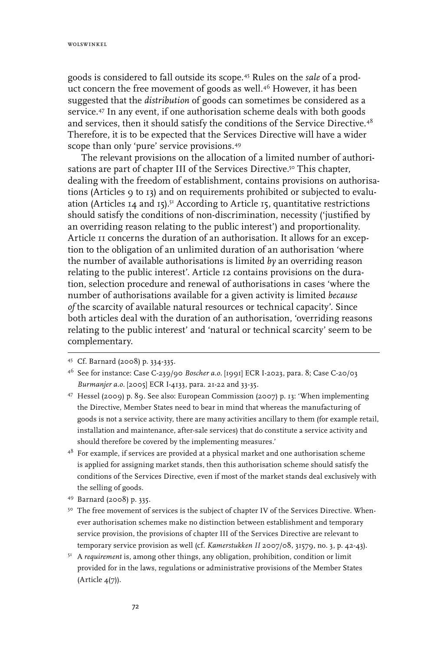goods is considered to fall outside its scope.45 Rules on the *sale* of a product concern the free movement of goods as well.<sup>46</sup> However, it has been suggested that the *distribution* of goods can sometimes be considered as a service.47 In any event, if one authorisation scheme deals with both goods and services, then it should satisfy the conditions of the Service Directive.<sup>48</sup> Therefore, it is to be expected that the Services Directive will have a wider scope than only 'pure' service provisions.49

The relevant provisions on the allocation of a limited number of authorisations are part of chapter III of the Services Directive.<sup>50</sup> This chapter, dealing with the freedom of establishment, contains provisions on authorisations (Articles 9 to 13) and on requirements prohibited or subjected to evaluation (Articles 14 and 15).51 According to Article 15, quantitative restrictions should satisfy the conditions of non-discrimination, necessity ('justified by an overriding reason relating to the public interest') and proportionality. Article 11 concerns the duration of an authorisation. It allows for an exception to the obligation of an unlimited duration of an authorisation 'where the number of available authorisations is limited *by* an overriding reason relating to the public interest'. Article 12 contains provisions on the duration, selection procedure and renewal of authorisations in cases 'where the number of authorisations available for a given activity is limited *because of* the scarcity of available natural resources or technical capacity'. Since both articles deal with the duration of an authorisation, 'overriding reasons relating to the public interest' and 'natural or technical scarcity' seem to be complementary.

- 47 Hessel (2009) p. 89. See also: European Commission (2007) p. 13: 'When implementing the Directive, Member States need to bear in mind that whereas the manufacturing of goods is not a service activity, there are many activities ancillary to them (for example retail, installation and maintenance, after-sale services) that do constitute a service activity and should therefore be covered by the implementing measures.'
- <sup>48</sup> For example, if services are provided at a physical market and one authorisation scheme is applied for assigning market stands, then this authorisation scheme should satisfy the conditions of the Services Directive, even if most of the market stands deal exclusively with the selling of goods.
- 49 Barnard (2008) p. 335.
- <sup>50</sup> The free movement of services is the subject of chapter IV of the Services Directive. Whenever authorisation schemes make no distinction between establishment and temporary service provision, the provisions of chapter III of the Services Directive are relevant to temporary service provision as well (cf. *Kamerstukken II* 2007/08, 31579, no. 3, p. 42-43).
- 51 A *requirement* is, among other things, any obligation, prohibition, condition or limit provided for in the laws, regulations or administrative provisions of the Member States (Article 4(7)).

<sup>45</sup> Cf. Barnard (2008) p. 334-335.

<sup>46</sup> See for instance: Case C-239/90 *Boscher a.o.* [1991] ECR I-2023, para. 8; Case C-20/03 *Burmanjer a.o.* [2005] ECR I-4133, para. 21-22 and 33-35.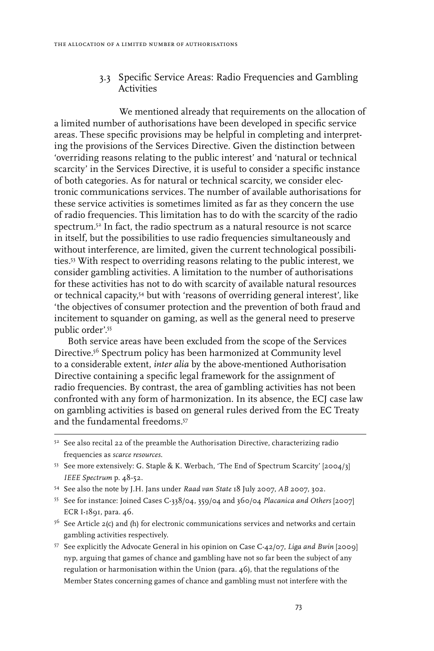### 3.3 Specific Service Areas: Radio Frequencies and Gambling Activities

We mentioned already that requirements on the allocation of a limited number of authorisations have been developed in specific service areas. These specific provisions may be helpful in completing and interpreting the provisions of the Services Directive. Given the distinction between 'overriding reasons relating to the public interest' and 'natural or technical scarcity' in the Services Directive, it is useful to consider a specific instance of both categories. As for natural or technical scarcity, we consider electronic communications services. The number of available authorisations for these service activities is sometimes limited as far as they concern the use of radio frequencies. This limitation has to do with the scarcity of the radio spectrum.52 In fact, the radio spectrum as a natural resource is not scarce in itself, but the possibilities to use radio frequencies simultaneously and without interference, are limited, given the current technological possibilities.53 With respect to overriding reasons relating to the public interest, we consider gambling activities. A limitation to the number of authorisations for these activities has not to do with scarcity of available natural resources or technical capacity,54 but with 'reasons of overriding general interest', like 'the objectives of consumer protection and the prevention of both fraud and incitement to squander on gaming, as well as the general need to preserve public order'.55

Both service areas have been excluded from the scope of the Services Directive.56 Spectrum policy has been harmonized at Community level to a considerable extent, *inter alia* by the above-mentioned Authorisation Directive containing a specific legal framework for the assignment of radio frequencies. By contrast, the area of gambling activities has not been confronted with any form of harmonization. In its absence, the ECJ case law on gambling activities is based on general rules derived from the EC Treaty and the fundamental freedoms.57

- $56$  See Article 2(c) and (h) for electronic communications services and networks and certain gambling activities respectively.
- 57 See explicitly the Advocate General in his opinion on Case C-42/07, *Liga and Bwin* [2009] nyp, arguing that games of chance and gambling have not so far been the subject of any regulation or harmonisation within the Union (para. 46), that the regulations of the Member States concerning games of chance and gambling must not interfere with the

<sup>&</sup>lt;sup>52</sup> See also recital 22 of the preamble the Authorisation Directive, characterizing radio frequencies as *scarce resources*.

<sup>53</sup> See more extensively: G. Staple & K. Werbach, 'The End of Spectrum Scarcity' [2004/3] *IEEE Spectrum* p. 48-52.

<sup>54</sup> See also the note by J.H. Jans under *Raad van State* 18 July 2007, *AB* 2007, 302.

<sup>55</sup> See for instance: Joined Cases C-338/04, 359/04 and 360/04 *Placanica and Others* [2007] ECR I-1891, para. 46.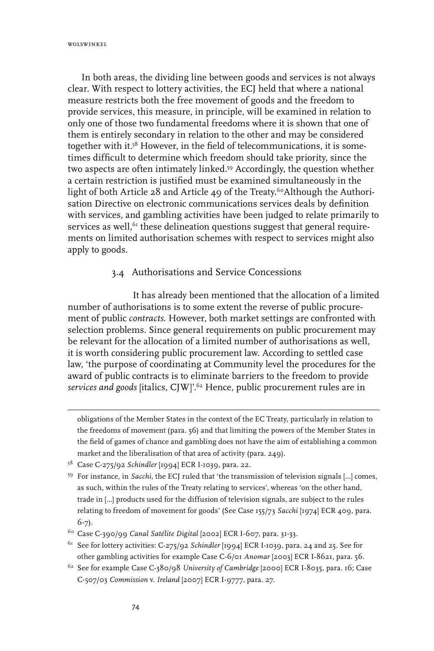wolswinkel

In both areas, the dividing line between goods and services is not always clear. With respect to lottery activities, the ECJ held that where a national measure restricts both the free movement of goods and the freedom to provide services, this measure, in principle, will be examined in relation to only one of those two fundamental freedoms where it is shown that one of them is entirely secondary in relation to the other and may be considered together with it.58 However, in the field of telecommunications, it is sometimes difficult to determine which freedom should take priority, since the two aspects are often intimately linked.59 Accordingly, the question whether a certain restriction is justified must be examined simultaneously in the light of both Article 28 and Article 49 of the Treaty.<sup>60</sup>Although the Authorisation Directive on electronic communications services deals by definition with services, and gambling activities have been judged to relate primarily to services as well, $^{61}$  these delineation questions suggest that general requirements on limited authorisation schemes with respect to services might also apply to goods.

### 3.4 Authorisations and Service Concessions

It has already been mentioned that the allocation of a limited number of authorisations is to some extent the reverse of public procurement of public *contracts*. However, both market settings are confronted with selection problems. Since general requirements on public procurement may be relevant for the allocation of a limited number of authorisations as well, it is worth considering public procurement law. According to settled case law, 'the purpose of coordinating at Community level the procedures for the award of public contracts is to eliminate barriers to the freedom to provide *services and goods* [italics, CJW]'.62 Hence, public procurement rules are in

obligations of the Member States in the context of the EC Treaty, particularly in relation to the freedoms of movement (para. 56) and that limiting the powers of the Member States in the field of games of chance and gambling does not have the aim of establishing a common market and the liberalisation of that area of activity (para. 249).

<sup>58</sup> Case C-275/92 *Schindler* [1994] ECR I-1039, para. 22.

<sup>59</sup> For instance, in *Sacchi*, the ECJ ruled that 'the transmission of television signals […] comes, as such, within the rules of the Treaty relating to services', whereas 'on the other hand, trade in […] products used for the diffusion of television signals, are subject to the rules relating to freedom of movement for goods' (See Case 155/73 *Sacchi* [1974] ECR 409, para. 6-7).

<sup>60</sup> Case C-390/99 *Canal Satélite Digital* [2002] ECR I-607, para. 31-33.

<sup>61</sup> See for lottery activities: C-275/92 *Schindler* [1994] ECR I-1039, para. 24 and 25. See for other gambling activities for example Case C-6/01 *Anomar* [2003] ECR I-8621, para. 56.

<sup>62</sup> See for example Case C-380/98 *University of Cambridge* [2000] ECR I-8035, para. 16; Case C-507/03 *Commission* v. *Ireland* [2007] ECR I-9777, para. 27.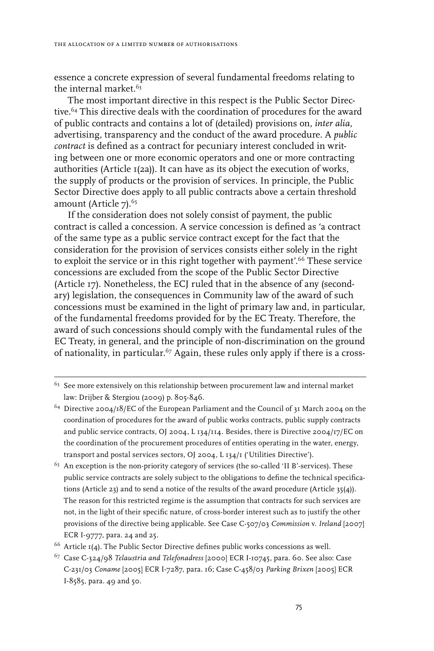essence a concrete expression of several fundamental freedoms relating to the internal market.<sup>63</sup>

The most important directive in this respect is the Public Sector Directive.<sup>64</sup> This directive deals with the coordination of procedures for the award of public contracts and contains a lot of (detailed) provisions on, *inter alia*, advertising, transparency and the conduct of the award procedure. A *public contract* is defined as a contract for pecuniary interest concluded in writing between one or more economic operators and one or more contracting authorities (Article 1(2a)). It can have as its object the execution of works, the supply of products or the provision of services. In principle, the Public Sector Directive does apply to all public contracts above a certain threshold amount (Article 7).<sup>65</sup>

If the consideration does not solely consist of payment, the public contract is called a concession. A service concession is defined as 'a contract of the same type as a public service contract except for the fact that the consideration for the provision of services consists either solely in the right to exploit the service or in this right together with payment'.<sup>66</sup> These service concessions are excluded from the scope of the Public Sector Directive (Article 17). Nonetheless, the ECJ ruled that in the absence of any (secondary) legislation, the consequences in Community law of the award of such concessions must be examined in the light of primary law and, in particular, of the fundamental freedoms provided for by the EC Treaty. Therefore, the award of such concessions should comply with the fundamental rules of the EC Treaty, in general, and the principle of non-discrimination on the ground of nationality, in particular.67 Again, these rules only apply if there is a cross-

 $63$  See more extensively on this relationship between procurement law and internal market law: Drijber & Stergiou (2009) p. 805-846.

<sup>64</sup> Directive 2004/18/EC of the European Parliament and the Council of 31 March 2004 on the coordination of procedures for the award of public works contracts, public supply contracts and public service contracts, OJ 2004, L 134/114. Besides, there is Directive 2004/17/EC on the coordination of the procurement procedures of entities operating in the water, energy, transport and postal services sectors, OJ 2004, L 134/1 ('Utilities Directive').

<sup>&</sup>lt;sup>65</sup> An exception is the non-priority category of services (the so-called 'II B'-services). These public service contracts are solely subject to the obligations to define the technical specifications (Article 23) and to send a notice of the results of the award procedure (Article  $35(4)$ ). The reason for this restricted regime is the assumption that contracts for such services are not, in the light of their specific nature, of cross-border interest such as to justify the other provisions of the directive being applicable. See Case C-507/03 *Commission* v. *Ireland* [2007] ECR I-9777, para. 24 and 25.

 $66$  Article  $I(4)$ . The Public Sector Directive defines public works concessions as well.

<sup>67</sup> Case C-324/98 *Telaustria and Telefonadress* [2000] ECR I-10745, para. 60. See also: Case C-231/03 *Coname* [2005] ECR I-7287, para. 16; Case C-458/03 *Parking Brixen* [2005] ECR I-8585, para. 49 and 50.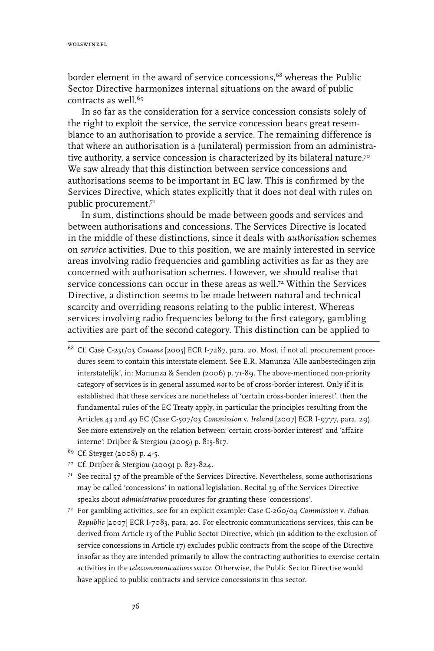border element in the award of service concessions,<sup>68</sup> whereas the Public Sector Directive harmonizes internal situations on the award of public  $contrast$  as well  $69$ 

In so far as the consideration for a service concession consists solely of the right to exploit the service, the service concession bears great resemblance to an authorisation to provide a service. The remaining difference is that where an authorisation is a (unilateral) permission from an administrative authority, a service concession is characterized by its bilateral nature.<sup>70</sup> We saw already that this distinction between service concessions and authorisations seems to be important in EC law. This is confirmed by the Services Directive, which states explicitly that it does not deal with rules on public procurement.71

In sum, distinctions should be made between goods and services and between authorisations and concessions. The Services Directive is located in the middle of these distinctions, since it deals with *authorisation* schemes on *service* activities. Due to this position, we are mainly interested in service areas involving radio frequencies and gambling activities as far as they are concerned with authorisation schemes. However, we should realise that service concessions can occur in these areas as well.<sup>72</sup> Within the Services Directive, a distinction seems to be made between natural and technical scarcity and overriding reasons relating to the public interest. Whereas services involving radio frequencies belong to the first category, gambling activities are part of the second category. This distinction can be applied to

- 68 Cf. Case C-231/03 *Coname* [2005] ECR I-7287, para. 20. Most, if not all procurement procedures seem to contain this interstate element. See E.R. Manunza 'Alle aanbestedingen zijn interstatelijk', in: Manunza & Senden (2006) p. 71-89. The above-mentioned non-priority category of services is in general assumed *not* to be of cross-border interest. Only if it is established that these services are nonetheless of 'certain cross-border interest', then the fundamental rules of the EC Treaty apply, in particular the principles resulting from the Articles 43 and 49 EC (Case C-507/03 *Commission* v. *Ireland* [2007] ECR I-9777, para. 29). See more extensively on the relation between 'certain cross-border interest' and 'affaire interne': Drijber & Stergiou (2009) p. 815-817.
- 69 Cf. Steyger (2008) p. 4-5.
- 70 Cf. Drijber & Stergiou (2009) p. 823-824.
- $7<sup>1</sup>$  See recital 57 of the preamble of the Services Directive. Nevertheless, some authorisations may be called 'concessions' in national legislation. Recital 39 of the Services Directive speaks about *administrative* procedures for granting these 'concessions'.
- 72 For gambling activities, see for an explicit example: Case C-260/04 *Commission* v. *Italian Republic* [2007] ECR I-7083, para. 20. For electronic communications services, this can be derived from Article 13 of the Public Sector Directive, which (in addition to the exclusion of service concessions in Article 17) excludes public contracts from the scope of the Directive insofar as they are intended primarily to allow the contracting authorities to exercise certain activities in the *telecommunications sector*. Otherwise, the Public Sector Directive would have applied to public contracts and service concessions in this sector.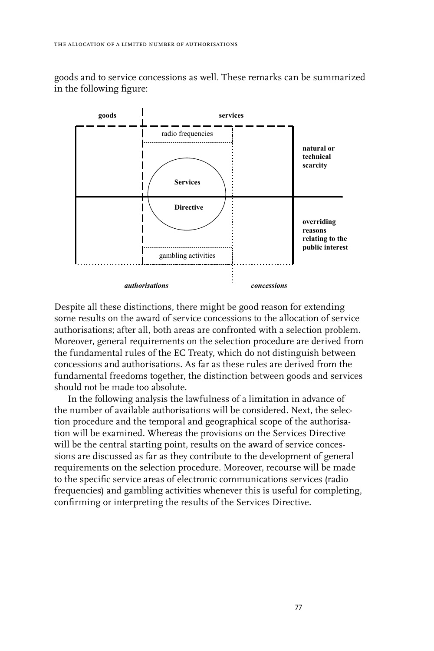goods and to service concessions as well. These remarks can be summarized in the following figure:



Despite all these distinctions, there might be good reason for extending some results on the award of service concessions to the allocation of service authorisations; after all, both areas are confronted with a selection problem. Moreover, general requirements on the selection procedure are derived from the fundamental rules of the EC Treaty, which do not distinguish between concessions and authorisations. As far as these rules are derived from the fundamental freedoms together, the distinction between goods and services should not be made too absolute.

In the following analysis the lawfulness of a limitation in advance of the number of available authorisations will be considered. Next, the selection procedure and the temporal and geographical scope of the authorisation will be examined. Whereas the provisions on the Services Directive will be the central starting point, results on the award of service concessions are discussed as far as they contribute to the development of general requirements on the selection procedure. Moreover, recourse will be made to the specific service areas of electronic communications services (radio frequencies) and gambling activities whenever this is useful for completing, confirming or interpreting the results of the Services Directive.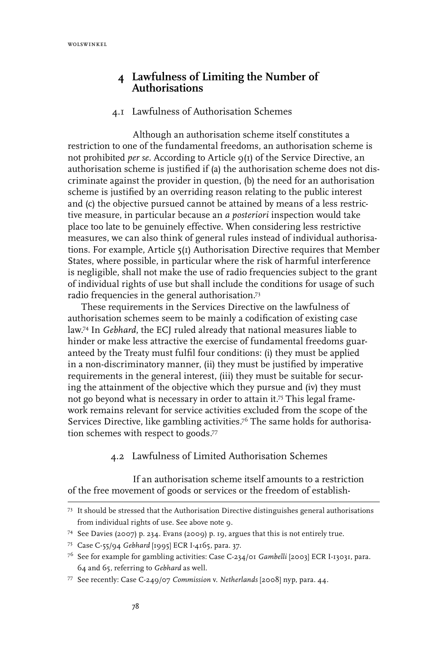# **4 Lawfulness of Limiting the Number of Authorisations**

### 4.1 Lawfulness of Authorisation Schemes

Although an authorisation scheme itself constitutes a restriction to one of the fundamental freedoms, an authorisation scheme is not prohibited *per se.* According to Article 9(1) of the Service Directive, an authorisation scheme is justified if (a) the authorisation scheme does not discriminate against the provider in question, (b) the need for an authorisation scheme is justified by an overriding reason relating to the public interest and (c) the objective pursued cannot be attained by means of a less restrictive measure, in particular because an *a posteriori* inspection would take place too late to be genuinely effective. When considering less restrictive measures, we can also think of general rules instead of individual authorisations. For example, Article 5(1) Authorisation Directive requires that Member States, where possible, in particular where the risk of harmful interference is negligible, shall not make the use of radio frequencies subject to the grant of individual rights of use but shall include the conditions for usage of such radio frequencies in the general authorisation.73

These requirements in the Services Directive on the lawfulness of authorisation schemes seem to be mainly a codification of existing case law.74 In *Gebhard*, the ECJ ruled already that national measures liable to hinder or make less attractive the exercise of fundamental freedoms guaranteed by the Treaty must fulfil four conditions: (i) they must be applied in a non-discriminatory manner, (ii) they must be justified by imperative requirements in the general interest, (iii) they must be suitable for securing the attainment of the objective which they pursue and (iv) they must not go beyond what is necessary in order to attain it.75 This legal framework remains relevant for service activities excluded from the scope of the Services Directive, like gambling activities.<sup>76</sup> The same holds for authorisation schemes with respect to goods.77

### 4.2 Lawfulness of Limited Authorisation Schemes

If an authorisation scheme itself amounts to a restriction of the free movement of goods or services or the freedom of establish-

<sup>73</sup> It should be stressed that the Authorisation Directive distinguishes general authorisations from individual rights of use. See above note 9.

<sup>74</sup> See Davies (2007) p. 234. Evans (2009) p. 19, argues that this is not entirely true.

<sup>75</sup> Case C-55/94 *Gebhard* [1995] ECR I-4165, para. 37.

<sup>76</sup> See for example for gambling activities: Case C-234/01 *Gambelli* [2003] ECR I-13031, para. 64 and 65, referring to *Gebhard* as well.

<sup>77</sup> See recently: Case C-249/07 *Commission* v. *Netherlands* [2008] nyp, para. 44.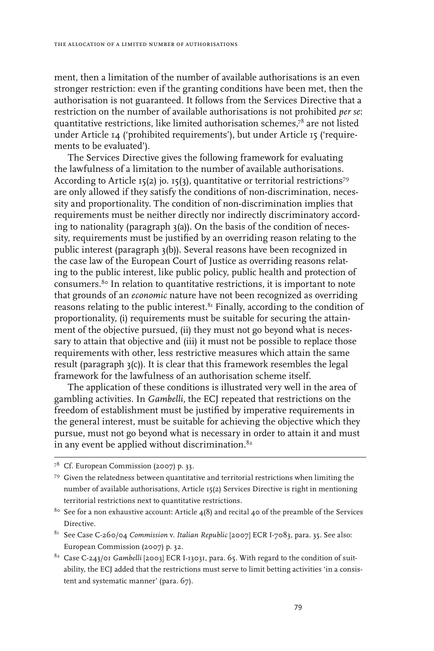ment, then a limitation of the number of available authorisations is an even stronger restriction: even if the granting conditions have been met, then the authorisation is not guaranteed. It follows from the Services Directive that a restriction on the number of available authorisations is not prohibited *per se*: quantitative restrictions, like limited authorisation schemes,78 are not listed under Article 14 ('prohibited requirements'), but under Article 15 ('requirements to be evaluated').

The Services Directive gives the following framework for evaluating the lawfulness of a limitation to the number of available authorisations. According to Article 15(2) jo. 15(3), quantitative or territorial restrictions<sup>79</sup> are only allowed if they satisfy the conditions of non-discrimination, necessity and proportionality. The condition of non-discrimination implies that requirements must be neither directly nor indirectly discriminatory according to nationality (paragraph 3(a)). On the basis of the condition of necessity, requirements must be justified by an overriding reason relating to the public interest (paragraph 3(b)). Several reasons have been recognized in the case law of the European Court of Justice as overriding reasons relating to the public interest, like public policy, public health and protection of consumers.80 In relation to quantitative restrictions, it is important to note that grounds of an *economic* nature have not been recognized as overriding reasons relating to the public interest.<sup>81</sup> Finally, according to the condition of proportionality, (i) requirements must be suitable for securing the attainment of the objective pursued, (ii) they must not go beyond what is necessary to attain that objective and (iii) it must not be possible to replace those requirements with other, less restrictive measures which attain the same result (paragraph 3(c)). It is clear that this framework resembles the legal framework for the lawfulness of an authorisation scheme itself.

The application of these conditions is illustrated very well in the area of gambling activities. In *Gambelli*, the ECJ repeated that restrictions on the freedom of establishment must be justified by imperative requirements in the general interest, must be suitable for achieving the objective which they pursue, must not go beyond what is necessary in order to attain it and must in any event be applied without discrimination. $82$ 

- 81 See Case C-260/04 *Commission* v. *Italian Republic* [2007] ECR I-7083, para. 35. See also: European Commission (2007) p. 32.
- 82 Case C-243/01 *Gambelli* [2003] ECR I-13031, para. 65. With regard to the condition of suitability, the ECJ added that the restrictions must serve to limit betting activities 'in a consistent and systematic manner' (para. 67).

<sup>78</sup> Cf. European Commission (2007) p. 33.

 $79$  Given the relatedness between quantitative and territorial restrictions when limiting the number of available authorisations, Article 15(2) Services Directive is right in mentioning territorial restrictions next to quantitative restrictions.

<sup>&</sup>lt;sup>80</sup> See for a non exhaustive account: Article  $4(8)$  and recital 40 of the preamble of the Services Directive.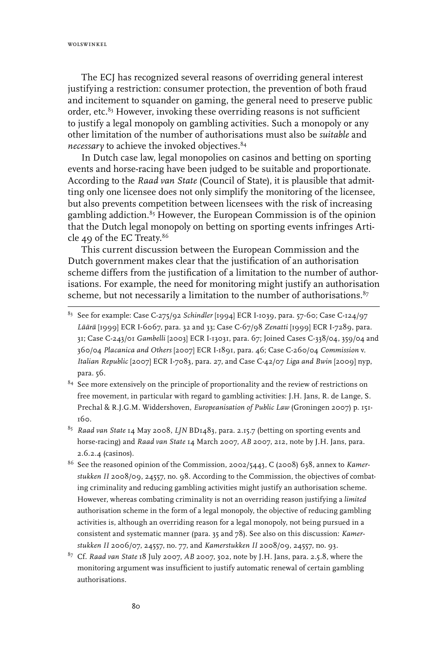The ECJ has recognized several reasons of overriding general interest justifying a restriction: consumer protection, the prevention of both fraud and incitement to squander on gaming, the general need to preserve public order, etc.<sup>83</sup> However, invoking these overriding reasons is not sufficient to justify a legal monopoly on gambling activities. Such a monopoly or any other limitation of the number of authorisations must also be *suitable* and *necessary* to achieve the invoked objectives.<sup>84</sup>

In Dutch case law, legal monopolies on casinos and betting on sporting events and horse-racing have been judged to be suitable and proportionate. According to the *Raad van State* (Council of State), it is plausible that admitting only one licensee does not only simplify the monitoring of the licensee, but also prevents competition between licensees with the risk of increasing gambling addiction.<sup>85</sup> However, the European Commission is of the opinion that the Dutch legal monopoly on betting on sporting events infringes Article 49 of the EC Treaty.86

This current discussion between the European Commission and the Dutch government makes clear that the justification of an authorisation scheme differs from the justification of a limitation to the number of authorisations. For example, the need for monitoring might justify an authorisation scheme, but not necessarily a limitation to the number of authorisations.<sup>87</sup>

- <sup>84</sup> See more extensively on the principle of proportionality and the review of restrictions on free movement, in particular with regard to gambling activities: J.H. Jans, R. de Lange, S. Prechal & R.J.G.M. Widdershoven, *Europeanisation of Public Law* (Groningen 2007) p. 151- 160.
- 85 *Raad van State* 14 May 2008, *LJN* BD1483, para. 2.15.7 (betting on sporting events and horse-racing) and *Raad van State* 14 March 2007, *AB* 2007, 212, note by J.H. Jans, para. 2.6.2.4 (casinos).
- 86 See the reasoned opinion of the Commission, 2002/5443, C (2008) 638, annex to *Kamerstukken II* 2008/09, 24557, no. 98. According to the Commission, the objectives of combating criminality and reducing gambling activities might justify an authorisation scheme. However, whereas combating criminality is not an overriding reason justifying a *limited* authorisation scheme in the form of a legal monopoly, the objective of reducing gambling activities is, although an overriding reason for a legal monopoly, not being pursued in a consistent and systematic manner (para. 35 and 78). See also on this discussion: *Kamerstukken II* 2006/07, 24557, no. 77, and *Kamerstukken II* 2008/09, 24557, no. 93.
- 87 Cf. *Raad van State* 18 July 2007, *AB* 2007, 302, note by J.H. Jans, para. 2.5.8, where the monitoring argument was insufficient to justify automatic renewal of certain gambling authorisations.

<sup>83</sup> See for example: Case C-275/92 *Schindler* [1994] ECR I-1039, para. 57-60; Case C-124/97 *Läärä* [1999] ECR I-6067, para. 32 and 33; Case C-67/98 *Zenatti* [1999] ECR I-7289, para. 31; Case C-243/01 *Gambelli* [2003] ECR I-13031, para. 67; Joined Cases C-338/04, 359/04 and 360/04 *Placanica and Others* [2007] ECR I-1891, para. 46; Case C-260/04 *Commission* v. *Italian Republic* [2007] ECR I-7083, para. 27, and Case C-42/07 *Liga and Bwin* [2009] nyp, para. 56.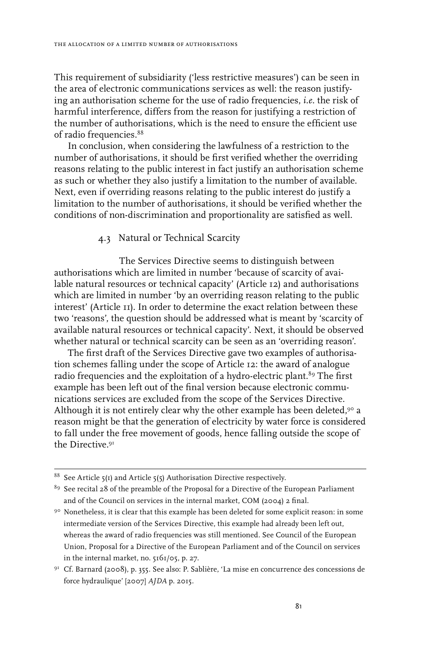This requirement of subsidiarity ('less restrictive measures') can be seen in the area of electronic communications services as well: the reason justifying an authorisation scheme for the use of radio frequencies, *i.e.* the risk of harmful interference, differs from the reason for justifying a restriction of the number of authorisations, which is the need to ensure the efficient use of radio frequencies.88

In conclusion, when considering the lawfulness of a restriction to the number of authorisations, it should be first verified whether the overriding reasons relating to the public interest in fact justify an authorisation scheme as such or whether they also justify a limitation to the number of available. Next, even if overriding reasons relating to the public interest do justify a limitation to the number of authorisations, it should be verified whether the conditions of non-discrimination and proportionality are satisfied as well.

#### 4.3 Natural or Technical Scarcity

The Services Directive seems to distinguish between authorisations which are limited in number 'because of scarcity of available natural resources or technical capacity' (Article 12) and authorisations which are limited in number 'by an overriding reason relating to the public interest' (Article 11). In order to determine the exact relation between these two 'reasons', the question should be addressed what is meant by 'scarcity of available natural resources or technical capacity'. Next, it should be observed whether natural or technical scarcity can be seen as an 'overriding reason'.

The first draft of the Services Directive gave two examples of authorisation schemes falling under the scope of Article 12: the award of analogue radio frequencies and the exploitation of a hydro-electric plant.<sup>89</sup> The first example has been left out of the final version because electronic communications services are excluded from the scope of the Services Directive. Although it is not entirely clear why the other example has been deleted,  $9^\circ$  a reason might be that the generation of electricity by water force is considered to fall under the free movement of goods, hence falling outside the scope of the Directive.<sup>91</sup>

<sup>&</sup>lt;sup>88</sup> See Article  $5(1)$  and Article  $5(5)$  Authorisation Directive respectively.

 $89$  See recital 28 of the preamble of the Proposal for a Directive of the European Parliament and of the Council on services in the internal market, COM (2004) 2 final.

<sup>90</sup> Nonetheless, it is clear that this example has been deleted for some explicit reason: in some intermediate version of the Services Directive, this example had already been left out, whereas the award of radio frequencies was still mentioned. See Council of the European Union, Proposal for a Directive of the European Parliament and of the Council on services in the internal market, no. 5161/05, p. 27.

<sup>91</sup> Cf. Barnard (2008), p. 355. See also: P. Sablière, 'La mise en concurrence des concessions de force hydraulique' [2007] *AJDA* p. 2015.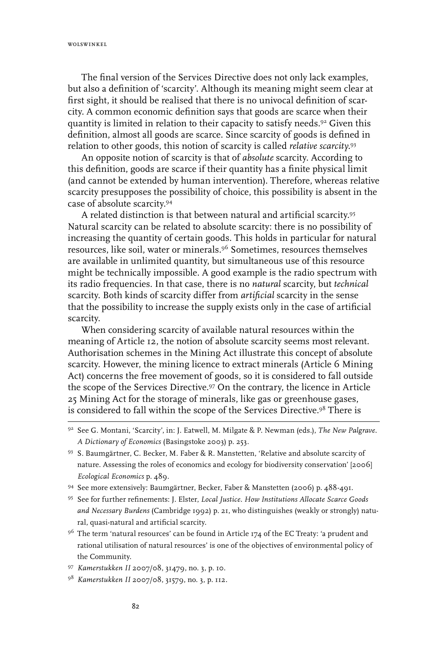The final version of the Services Directive does not only lack examples, but also a definition of 'scarcity'. Although its meaning might seem clear at first sight, it should be realised that there is no univocal definition of scarcity. A common economic definition says that goods are scarce when their quantity is limited in relation to their capacity to satisfy needs.92 Given this definition, almost all goods are scarce. Since scarcity of goods is defined in relation to other goods, this notion of scarcity is called *relative scarcity*. 93

An opposite notion of scarcity is that of *absolute* scarcity. According to this definition, goods are scarce if their quantity has a finite physical limit (and cannot be extended by human intervention). Therefore, whereas relative scarcity presupposes the possibility of choice, this possibility is absent in the case of absolute scarcity.94

A related distinction is that between natural and artificial scarcity.95 Natural scarcity can be related to absolute scarcity: there is no possibility of increasing the quantity of certain goods. This holds in particular for natural resources, like soil, water or minerals.96 Sometimes, resources themselves are available in unlimited quantity, but simultaneous use of this resource might be technically impossible. A good example is the radio spectrum with its radio frequencies. In that case, there is no *natural* scarcity, but *technical* scarcity. Both kinds of scarcity differ from *artificial* scarcity in the sense that the possibility to increase the supply exists only in the case of artificial scarcity.

When considering scarcity of available natural resources within the meaning of Article 12, the notion of absolute scarcity seems most relevant. Authorisation schemes in the Mining Act illustrate this concept of absolute scarcity. However, the mining licence to extract minerals (Article 6 Mining Act) concerns the free movement of goods, so it is considered to fall outside the scope of the Services Directive.97 On the contrary, the licence in Article 25 Mining Act for the storage of minerals, like gas or greenhouse gases, is considered to fall within the scope of the Services Directive.98 There is

<sup>92</sup> See G. Montani, 'Scarcity', in: J. Eatwell, M. Milgate & P. Newman (eds.), *The New Palgrave. A Dictionary of Economics* (Basingstoke 2003) p. 253.

<sup>93</sup> S. Baumgärtner, C. Becker, M. Faber & R. Manstetten, 'Relative and absolute scarcity of nature. Assessing the roles of economics and ecology for biodiversity conservation' [2006] *Ecological Economics* p. 489.

<sup>94</sup> See more extensively: Baumgärtner, Becker, Faber & Manstetten (2006) p. 488-491.

<sup>95</sup> See for further refinements: J. Elster, *Local Justice. How Institutions Allocate Scarce Goods and Necessary Burdens* (Cambridge 1992) p. 21, who distinguishes (weakly or strongly) natural, quasi-natural and artificial scarcity.

 $96$  The term 'natural resources' can be found in Article 174 of the EC Treaty: 'a prudent and rational utilisation of natural resources' is one of the objectives of environmental policy of the Community.

<sup>97</sup> *Kamerstukken II* 2007/08, 31479, no. 3, p. 10.

<sup>98</sup> *Kamerstukken II* 2007/08, 31579, no. 3, p. 112.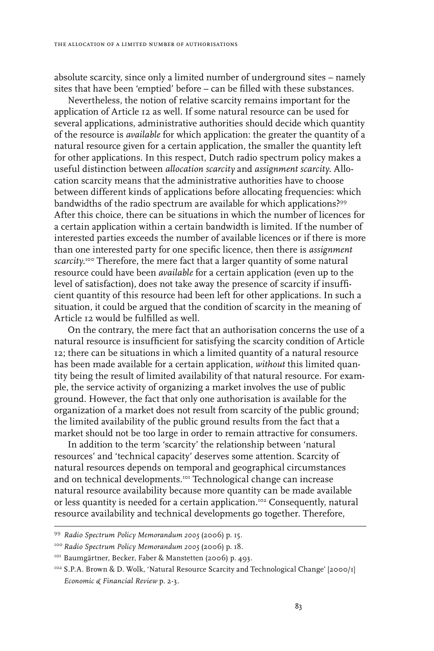absolute scarcity, since only a limited number of underground sites – namely sites that have been 'emptied' before – can be filled with these substances.

Nevertheless, the notion of relative scarcity remains important for the application of Article 12 as well. If some natural resource can be used for several applications, administrative authorities should decide which quantity of the resource is *available* for which application: the greater the quantity of a natural resource given for a certain application, the smaller the quantity left for other applications. In this respect, Dutch radio spectrum policy makes a useful distinction between *allocation scarcity* and *assignment scarcity*. Allocation scarcity means that the administrative authorities have to choose between different kinds of applications before allocating frequencies: which bandwidths of the radio spectrum are available for which applications?99 After this choice, there can be situations in which the number of licences for a certain application within a certain bandwidth is limited. If the number of interested parties exceeds the number of available licences or if there is more than one interested party for one specific licence, then there is *assignment scarcity*. 100 Therefore, the mere fact that a larger quantity of some natural resource could have been *available* for a certain application (even up to the level of satisfaction), does not take away the presence of scarcity if insufficient quantity of this resource had been left for other applications. In such a situation, it could be argued that the condition of scarcity in the meaning of Article 12 would be fulfilled as well.

On the contrary, the mere fact that an authorisation concerns the use of a natural resource is insufficient for satisfying the scarcity condition of Article 12; there can be situations in which a limited quantity of a natural resource has been made available for a certain application, *without* this limited quantity being the result of limited availability of that natural resource. For example, the service activity of organizing a market involves the use of public ground. However, the fact that only one authorisation is available for the organization of a market does not result from scarcity of the public ground; the limited availability of the public ground results from the fact that a market should not be too large in order to remain attractive for consumers.

In addition to the term 'scarcity' the relationship between 'natural resources' and 'technical capacity' deserves some attention. Scarcity of natural resources depends on temporal and geographical circumstances and on technical developments.101 Technological change can increase natural resource availability because more quantity can be made available or less quantity is needed for a certain application.102 Consequently, natural resource availability and technical developments go together. Therefore,

<sup>99</sup> *Radio Spectrum Policy Memorandum 2005* (2006) p. 15.

<sup>100</sup> *Radio Spectrum Policy Memorandum 2005* (2006) p. 18.

<sup>&</sup>lt;sup>101</sup> Baumgärtner, Becker, Faber & Manstetten (2006) p. 493.

<sup>102</sup> S.P.A. Brown & D. Wolk, 'Natural Resource Scarcity and Technological Change' [2000/1] *Economic & Financial Review* p. 2-3.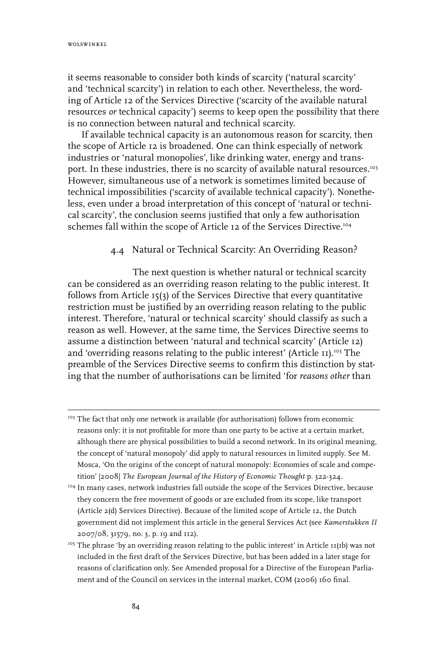it seems reasonable to consider both kinds of scarcity ('natural scarcity' and 'technical scarcity') in relation to each other. Nevertheless, the wording of Article 12 of the Services Directive ('scarcity of the available natural resources *or* technical capacity') seems to keep open the possibility that there is no connection between natural and technical scarcity.

If available technical capacity is an autonomous reason for scarcity, then the scope of Article 12 is broadened. One can think especially of network industries or 'natural monopolies', like drinking water, energy and transport. In these industries, there is no scarcity of available natural resources.<sup>103</sup> However, simultaneous use of a network is sometimes limited because of technical impossibilities ('scarcity of available technical capacity'). Nonetheless, even under a broad interpretation of this concept of 'natural or technical scarcity', the conclusion seems justified that only a few authorisation schemes fall within the scope of Article 12 of the Services Directive.<sup>104</sup>

#### 4.4 Natural or Technical Scarcity: An Overriding Reason?

The next question is whether natural or technical scarcity can be considered as an overriding reason relating to the public interest. It follows from Article 15(3) of the Services Directive that every quantitative restriction must be justified by an overriding reason relating to the public interest. Therefore, 'natural or technical scarcity' should classify as such a reason as well. However, at the same time, the Services Directive seems to assume a distinction between 'natural and technical scarcity' (Article 12) and 'overriding reasons relating to the public interest' (Article II).<sup>105</sup> The preamble of the Services Directive seems to confirm this distinction by stating that the number of authorisations can be limited 'for *reasons other* than

<sup>&</sup>lt;sup>103</sup> The fact that only one network is available (for authorisation) follows from economic reasons only: it is not profitable for more than one party to be active at a certain market, although there are physical possibilities to build a second network. In its original meaning, the concept of 'natural monopoly' did apply to natural resources in limited supply. See M. Mosca, 'On the origins of the concept of natural monopoly: Economies of scale and competition' [2008] *The European Journal of the History of Economic Thought* p. 322-324.

<sup>&</sup>lt;sup>104</sup> In many cases, network industries fall outside the scope of the Services Directive, because they concern the free movement of goods or are excluded from its scope, like transport (Article 2(d) Services Directive). Because of the limited scope of Article 12, the Dutch government did not implement this article in the general Services Act (see *Kamerstukken II* 2007/08, 31579, no. 3, p. 19 and 112).

 $105$  The phrase 'by an overriding reason relating to the public interest' in Article  $11$ (1b) was not included in the first draft of the Services Directive, but has been added in a later stage for reasons of clarification only. See Amended proposal for a Directive of the European Parliament and of the Council on services in the internal market, COM (2006) 160 final.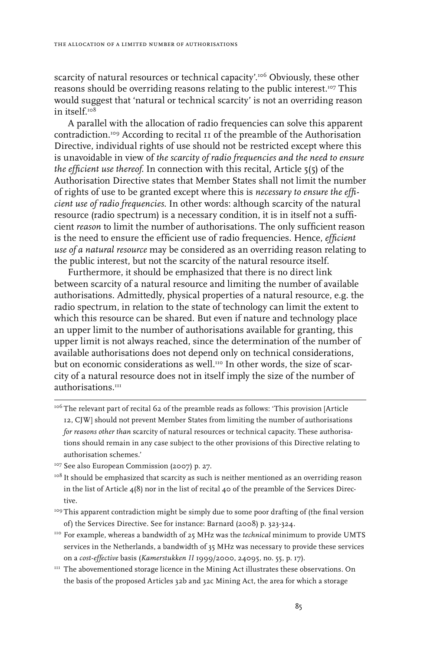scarcity of natural resources or technical capacity'.<sup>106</sup> Obviously, these other reasons should be overriding reasons relating to the public interest.<sup>107</sup> This would suggest that 'natural or technical scarcity' is not an overriding reason in itself<sup>108</sup>

A parallel with the allocation of radio frequencies can solve this apparent contradiction.109 According to recital 11 of the preamble of the Authorisation Directive, individual rights of use should not be restricted except where this is unavoidable in view of *the scarcity of radio frequencies and the need to ensure the efficient use thereof*. In connection with this recital, Article 5(5) of the Authorisation Directive states that Member States shall not limit the number of rights of use to be granted except where this is *necessary to ensure the efficient use of radio frequencies*. In other words: although scarcity of the natural resource (radio spectrum) is a necessary condition, it is in itself not a sufficient *reason* to limit the number of authorisations. The only sufficient reason is the need to ensure the efficient use of radio frequencies. Hence, *efficient use of a natural resource* may be considered as an overriding reason relating to the public interest, but not the scarcity of the natural resource itself.

Furthermore, it should be emphasized that there is no direct link between scarcity of a natural resource and limiting the number of available authorisations. Admittedly, physical properties of a natural resource, e.g. the radio spectrum, in relation to the state of technology can limit the extent to which this resource can be shared. But even if nature and technology place an upper limit to the number of authorisations available for granting, this upper limit is not always reached, since the determination of the number of available authorisations does not depend only on technical considerations, but on economic considerations as well.<sup>110</sup> In other words, the size of scarcity of a natural resource does not in itself imply the size of the number of authorisations.<sup>111</sup>

- <sup>106</sup> The relevant part of recital 62 of the preamble reads as follows: 'This provision [Article 12, CJW] should not prevent Member States from limiting the number of authorisations *for reasons other than* scarcity of natural resources or technical capacity. These authorisations should remain in any case subject to the other provisions of this Directive relating to authorisation schemes.'
- <sup>107</sup> See also European Commission (2007) p. 27.
- $108$  It should be emphasized that scarcity as such is neither mentioned as an overriding reason in the list of Article  $4(8)$  nor in the list of recital  $40$  of the preamble of the Services Directive.
- <sup>109</sup> This apparent contradiction might be simply due to some poor drafting of (the final version of) the Services Directive. See for instance: Barnard (2008) p. 323-324.
- 110 For example, whereas a bandwidth of 25 MHz was the *technical* minimum to provide UMTS services in the Netherlands, a bandwidth of 35 MHz was necessary to provide these services on a *cost-effective* basis (*Kamerstukken II* 1999/2000, 24095, no. 55, p. 17).
- $111$  The abovementioned storage licence in the Mining Act illustrates these observations. On the basis of the proposed Articles 32b and 32c Mining Act, the area for which a storage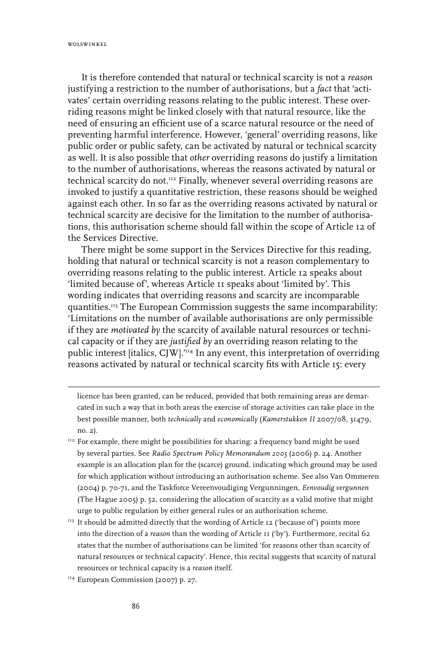It is therefore contended that natural or technical scarcity is not a *reason* justifying a restriction to the number of authorisations, but a *fact* that 'activates' certain overriding reasons relating to the public interest. These overriding reasons might be linked closely with that natural resource, like the need of ensuring an efficient use of a scarce natural resource or the need of preventing harmful interference. However, 'general' overriding reasons, like public order or public safety, can be activated by natural or technical scarcity as well. It is also possible that *other* overriding reasons do justify a limitation to the number of authorisations, whereas the reasons activated by natural or technical scarcity do not.<sup>112</sup> Finally, whenever several overriding reasons are invoked to justify a quantitative restriction, these reasons should be weighed against each other. In so far as the overriding reasons activated by natural or technical scarcity are decisive for the limitation to the number of authorisations, this authorisation scheme should fall within the scope of Article 12 of the Services Directive.

There might be some support in the Services Directive for this reading, holding that natural or technical scarcity is not a reason complementary to overriding reasons relating to the public interest. Article 12 speaks about 'limited because of', whereas Article 11 speaks about 'limited by'. This wording indicates that overriding reasons and scarcity are incomparable quantities.113 The European Commission suggests the same incomparability: 'Limitations on the number of available authorisations are only permissible if they are *motivated by* the scarcity of available natural resources or technical capacity or if they are *justified by* an overriding reason relating to the public interest [italics, CJW].'114 In any event, this interpretation of overriding reasons activated by natural or technical scarcity fits with Article 15: every

licence has been granted, can be reduced, provided that both remaining areas are demarcated in such a way that in both areas the exercise of storage activities can take place in the best possible manner, both *technically* and *economically* (*Kamerstukken II* 2007/08, 31479, no. 2).

- $112$  For example, there might be possibilities for sharing: a frequency band might be used by several parties. See *Radio Spectrum Policy Memorandum 2005* (2006) p. 24. Another example is an allocation plan for the (scarce) ground, indicating which ground may be used for which application without introducing an authorisation scheme. See also Van Ommeren (2004) p. 70-71, and the Taskforce Vereenvoudiging Vergunningen, *Eenvoudig vergunnen* (The Hague 2005) p. 52, considering the allocation of scarcity as a valid motive that might urge to public regulation by either general rules or an authorisation scheme.
- $113$  It should be admitted directly that the wording of Article 12 ('because of') points more into the direction of a *reason* than the wording of Article 11 ('by'). Furthermore, recital 62 states that the number of authorisations can be limited 'for reasons other than scarcity of natural resources or technical capacity'. Hence, this recital suggests that scarcity of natural resources or technical capacity is a *reason* itself.

<sup>&</sup>lt;sup>114</sup> European Commission (2007) p. 27.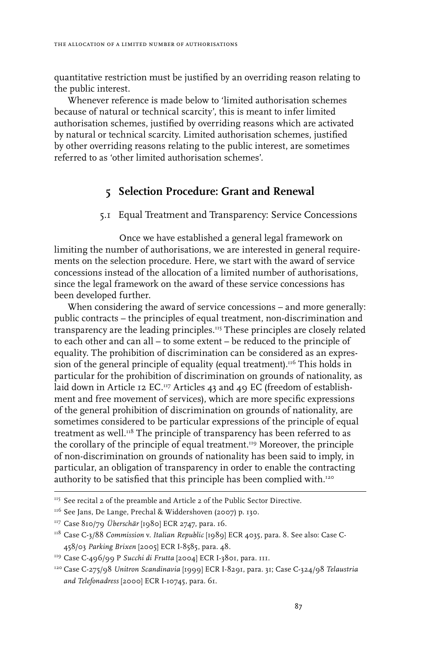quantitative restriction must be justified by an overriding reason relating to the public interest.

Whenever reference is made below to 'limited authorisation schemes because of natural or technical scarcity', this is meant to infer limited authorisation schemes, justified by overriding reasons which are activated by natural or technical scarcity. Limited authorisation schemes, justified by other overriding reasons relating to the public interest, are sometimes referred to as 'other limited authorisation schemes'.

# **5 Selection Procedure: Grant and Renewal**

5.1 Equal Treatment and Transparency: Service Concessions

Once we have established a general legal framework on limiting the number of authorisations, we are interested in general requirements on the selection procedure. Here, we start with the award of service concessions instead of the allocation of a limited number of authorisations, since the legal framework on the award of these service concessions has been developed further.

When considering the award of service concessions – and more generally: public contracts – the principles of equal treatment, non-discrimination and transparency are the leading principles.115 These principles are closely related to each other and can all – to some extent – be reduced to the principle of equality. The prohibition of discrimination can be considered as an expression of the general principle of equality (equal treatment).<sup>116</sup> This holds in particular for the prohibition of discrimination on grounds of nationality, as laid down in Article 12 EC.117 Articles 43 and 49 EC (freedom of establishment and free movement of services), which are more specific expressions of the general prohibition of discrimination on grounds of nationality, are sometimes considered to be particular expressions of the principle of equal treatment as well.<sup>118</sup> The principle of transparency has been referred to as the corollary of the principle of equal treatment.<sup>119</sup> Moreover, the principle of non-discrimination on grounds of nationality has been said to imply, in particular, an obligation of transparency in order to enable the contracting authority to be satisfied that this principle has been complied with.<sup>120</sup>

<sup>&</sup>lt;sup>115</sup> See recital 2 of the preamble and Article 2 of the Public Sector Directive.

<sup>&</sup>lt;sup>116</sup> See Jans, De Lange, Prechal & Widdershoven (2007) p. 130.

<sup>117</sup> Case 810/79 *Überschär* [1980] ECR 2747, para. 16.

<sup>&</sup>lt;sup>118</sup> Case C-3/88 *Commission* v. *Italian Republic* [1989] ECR 4035, para. 8. See also: Case C-458/03 *Parking Brixen* [2005] ECR I-8585, para. 48.

<sup>119</sup> Case C-496/99 P *Succhi di Frutta* [2004] ECR I-3801, para. 111.

<sup>120</sup> Case C-275/98 *Unitron Scandinavia* [1999] ECR I-8291, para. 31; Case C-324/98 *Telaustria and Telefonadress* [2000] ECR I-10745, para. 61.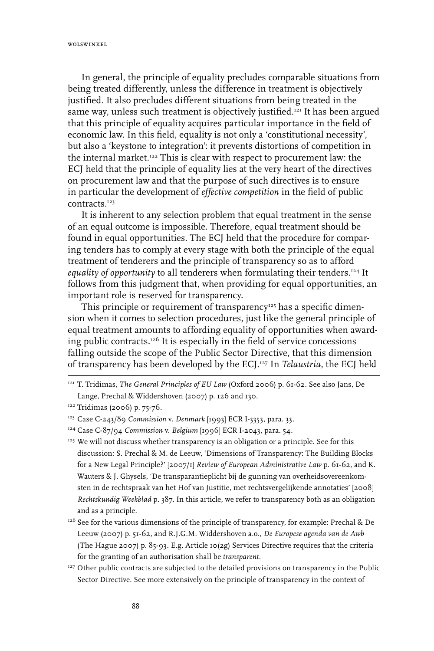wolswinkel

In general, the principle of equality precludes comparable situations from being treated differently, unless the difference in treatment is objectively justified. It also precludes different situations from being treated in the same way, unless such treatment is objectively justified.<sup>121</sup> It has been argued that this principle of equality acquires particular importance in the field of economic law. In this field, equality is not only a 'constitutional necessity', but also a 'keystone to integration': it prevents distortions of competition in the internal market.<sup>122</sup> This is clear with respect to procurement law: the ECJ held that the principle of equality lies at the very heart of the directives on procurement law and that the purpose of such directives is to ensure in particular the development of *effective competition* in the field of public contracts.123

It is inherent to any selection problem that equal treatment in the sense of an equal outcome is impossible. Therefore, equal treatment should be found in equal opportunities. The ECJ held that the procedure for comparing tenders has to comply at every stage with both the principle of the equal treatment of tenderers and the principle of transparency so as to afford *equality of opportunity* to all tenderers when formulating their tenders.124 It follows from this judgment that, when providing for equal opportunities, an important role is reserved for transparency.

This principle or requirement of transparency $^{\imath_{25}}$  has a specific dimension when it comes to selection procedures, just like the general principle of equal treatment amounts to affording equality of opportunities when awarding public contracts.126 It is especially in the field of service concessions falling outside the scope of the Public Sector Directive, that this dimension of transparency has been developed by the ECJ.127 In *Telaustria*, the ECJ held

<sup>&</sup>lt;sup>121</sup> T. Tridimas, *The General Principles of EU Law* (Oxford 2006) p. 61-62. See also Jans, De Lange, Prechal & Widdershoven (2007) p. 126 and 130.

<sup>&</sup>lt;sup>122</sup> Tridimas (2006) p. 75-76.

<sup>123</sup> Case C-243/89 *Commission* v. *Denmark* [1993] ECR I-3353, para. 33.

<sup>124</sup> Case C-87/94 *Commission* v. *Belgium* [1996] ECR I-2043, para. 54.

<sup>&</sup>lt;sup>125</sup> We will not discuss whether transparency is an obligation or a principle. See for this discussion: S. Prechal & M. de Leeuw, 'Dimensions of Transparency: The Building Blocks for a New Legal Principle?' [2007/1] *Review of European Administrative Law* p. 61-62, and K. Wauters & J. Ghysels, 'De transparantieplicht bij de gunning van overheidsovereenkomsten in de rechtspraak van het Hof van Justitie, met rechtsvergelijkende annotaties' [2008] *Rechtskundig Weekblad* p. 387. In this article, we refer to transparency both as an obligation and as a principle.

 $126$  See for the various dimensions of the principle of transparency, for example: Prechal & De Leeuw (2007) p. 51-62, and R.J.G.M. Widdershoven a.o., *De Europese agenda van de Awb* (The Hague 2007) p. 85-93. E.g. Article 10(2g) Services Directive requires that the criteria for the granting of an authorisation shall be *transparent*.

<sup>&</sup>lt;sup>127</sup> Other public contracts are subjected to the detailed provisions on transparency in the Public Sector Directive. See more extensively on the principle of transparency in the context of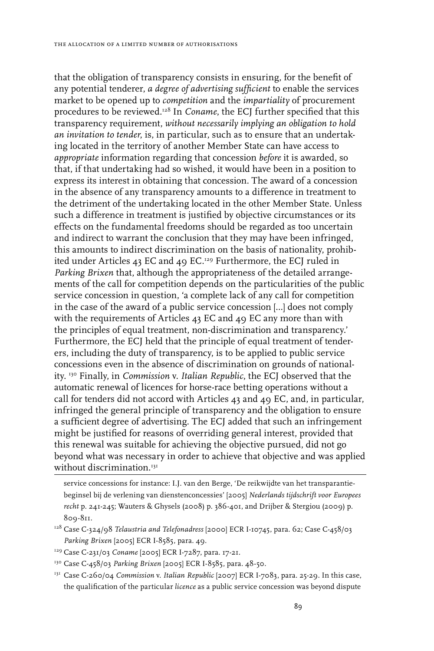that the obligation of transparency consists in ensuring, for the benefit of any potential tenderer, *a degree of advertising sufficient* to enable the services market to be opened up to *competition* and the *impartiality* of procurement procedures to be reviewed.128 In *Coname*, the ECJ further specified that this transparency requirement, *without necessarily implying an obligation to hold an invitation to tender*, is, in particular, such as to ensure that an undertaking located in the territory of another Member State can have access to *appropriate* information regarding that concession *before* it is awarded, so that, if that undertaking had so wished, it would have been in a position to express its interest in obtaining that concession. The award of a concession in the absence of any transparency amounts to a difference in treatment to the detriment of the undertaking located in the other Member State. Unless such a difference in treatment is justified by objective circumstances or its effects on the fundamental freedoms should be regarded as too uncertain and indirect to warrant the conclusion that they may have been infringed, this amounts to indirect discrimination on the basis of nationality, prohibited under Articles 43 EC and 49 EC.<sup>129</sup> Furthermore, the ECJ ruled in *Parking Brixen* that, although the appropriateness of the detailed arrangements of the call for competition depends on the particularities of the public service concession in question, 'a complete lack of any call for competition in the case of the award of a public service concession […] does not comply with the requirements of Articles 43 EC and 49 EC any more than with the principles of equal treatment, non-discrimination and transparency.' Furthermore, the ECJ held that the principle of equal treatment of tenderers, including the duty of transparency, is to be applied to public service concessions even in the absence of discrimination on grounds of nationality. 130 Finally, in *Commission* v. *Italian Republic*, the ECJ observed that the automatic renewal of licences for horse-race betting operations without a call for tenders did not accord with Articles 43 and 49 EC, and, in particular, infringed the general principle of transparency and the obligation to ensure a sufficient degree of advertising. The ECJ added that such an infringement might be justified for reasons of overriding general interest, provided that this renewal was suitable for achieving the objective pursued, did not go beyond what was necessary in order to achieve that objective and was applied without discrimination.<sup>131</sup>

- 129 Case C-231/03 *Coname* [2005] ECR I-7287, para. 17-21.
- <sup>130</sup> Case C-458/03 *Parking Brixen* [2005] ECR I-8585, para. 48-50.
- 131 Case C-260/04 *Commission* v. *Italian Republic* [2007] ECR I-7083, para. 25-29. In this case, the qualification of the particular *licence* as a public service concession was beyond dispute

service concessions for instance: I.J. van den Berge, 'De reikwijdte van het transparantiebeginsel bij de verlening van dienstenconcessies' [2005] *Nederlands tijdschrift voor Europees recht* p. 241-245; Wauters & Ghysels (2008) p. 386-401, and Drijber & Stergiou (2009) p. 809-811.

<sup>&</sup>lt;sup>128</sup> Case C-324/98 *Telaustria and Telefonadress* [2000] ECR I-10745, para. 62; Case C-458/03 *Parking Brixen* [2005] ECR I-8585, para. 49.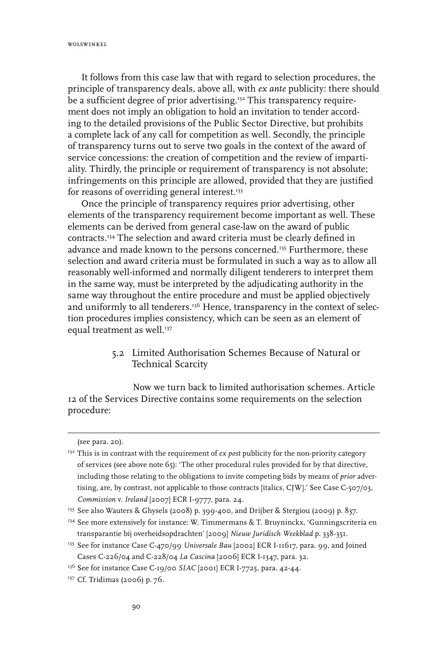wolswinkel

It follows from this case law that with regard to selection procedures, the principle of transparency deals, above all, with *ex ante* publicity: there should be a sufficient degree of prior advertising.<sup>132</sup> This transparency requirement does not imply an obligation to hold an invitation to tender according to the detailed provisions of the Public Sector Directive, but prohibits a complete lack of any call for competition as well. Secondly, the principle of transparency turns out to serve two goals in the context of the award of service concessions: the creation of competition and the review of impartiality. Thirdly, the principle or requirement of transparency is not absolute; infringements on this principle are allowed, provided that they are justified for reasons of overriding general interest.<sup>133</sup>

Once the principle of transparency requires prior advertising, other elements of the transparency requirement become important as well. These elements can be derived from general case-law on the award of public contracts.134 The selection and award criteria must be clearly defined in advance and made known to the persons concerned.135 Furthermore, these selection and award criteria must be formulated in such a way as to allow all reasonably well-informed and normally diligent tenderers to interpret them in the same way, must be interpreted by the adjudicating authority in the same way throughout the entire procedure and must be applied objectively and uniformly to all tenderers.<sup>136</sup> Hence, transparency in the context of selection procedures implies consistency, which can be seen as an element of equal treatment as well.<sup>137</sup>

### 5.2 Limited Authorisation Schemes Because of Natural or Technical Scarcity

Now we turn back to limited authorisation schemes. Article 12 of the Services Directive contains some requirements on the selection procedure:

- <sup>134</sup> See more extensively for instance: W. Timmermans & T. Bruyninckx, 'Gunningscriteria en transparantie bij overheidsopdrachten' [2009] *Nieuw Juridisch Weekblad* p. 338-351.
- <sup>135</sup> See for instance Case C-470/99 *Universale Bau* [2002] ECR I-11617, para. 99, and Joined Cases C-226/04 and C-228/04 *La Cascina* [2006] ECR I-1347, para. 32.

<sup>(</sup>see para. 20).

<sup>&</sup>lt;sup>132</sup> This is in contrast with the requirement of *ex post* publicity for the non-priority category of services (see above note 65): 'The other procedural rules provided for by that directive, including those relating to the obligations to invite competing bids by means of *prior* advertising, are, by contrast, not applicable to those contracts [italics, CJW].' See Case C-507/03, *Commission* v. *Ireland* [2007] ECR I-9777, para. 24.

<sup>&</sup>lt;sup>133</sup> See also Wauters & Ghysels (2008) p. 399-400, and Drijber & Stergiou (2009) p. 837.

<sup>&</sup>lt;sup>136</sup> See for instance Case C-19/00 *SIAC* [2001] ECR I-7725, para. 42-44.

<sup>&</sup>lt;sup>137</sup> Cf. Tridimas (2006) p. 76.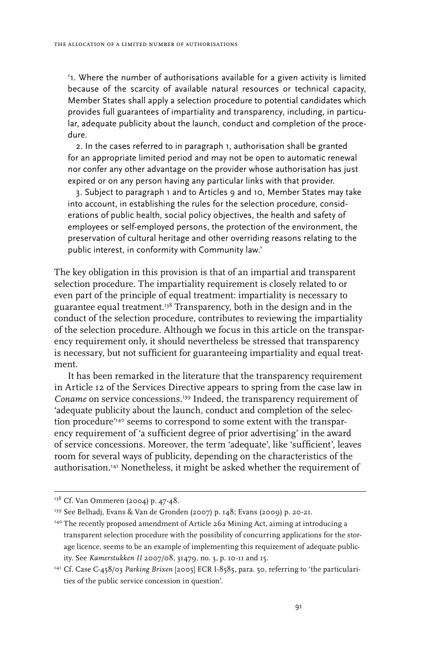'1. Where the number of authorisations available for a given activity is limited because of the scarcity of available natural resources or technical capacity, Member States shall apply a selection procedure to potential candidates which provides full guarantees of impartiality and transparency, including, in particular, adequate publicity about the launch, conduct and completion of the procedure.

2. In the cases referred to in paragraph 1, authorisation shall be granted for an appropriate limited period and may not be open to automatic renewal nor confer any other advantage on the provider whose authorisation has just expired or on any person having any particular links with that provider.

3. Subject to paragraph 1 and to Articles 9 and 10, Member States may take into account, in establishing the rules for the selection procedure, considerations of public health, social policy objectives, the health and safety of employees or self-employed persons, the protection of the environment, the preservation of cultural heritage and other overriding reasons relating to the public interest, in conformity with Community law.'

The key obligation in this provision is that of an impartial and transparent selection procedure. The impartiality requirement is closely related to or even part of the principle of equal treatment: impartiality is necessary to guarantee equal treatment.138 Transparency, both in the design and in the conduct of the selection procedure, contributes to reviewing the impartiality of the selection procedure. Although we focus in this article on the transparency requirement only, it should nevertheless be stressed that transparency is necessary, but not sufficient for guaranteeing impartiality and equal treatment.

It has been remarked in the literature that the transparency requirement in Article 12 of the Services Directive appears to spring from the case law in *Coname* on service concessions.139 Indeed, the transparency requirement of 'adequate publicity about the launch, conduct and completion of the selection procedure<sup>'140</sup> seems to correspond to some extent with the transparency requirement of 'a sufficient degree of prior advertising' in the award of service concessions. Moreover, the term 'adequate', like 'sufficient', leaves room for several ways of publicity, depending on the characteristics of the authorisation.141 Nonetheless, it might be asked whether the requirement of

<sup>&</sup>lt;sup>138</sup> Cf. Van Ommeren (2004) p. 47-48.

<sup>139</sup> See Belhadj, Evans & Van de Gronden (2007) p. 148; Evans (2009) p. 20-21.

<sup>140</sup> The recently proposed amendment of Article 26a Mining Act, aiming at introducing a transparent selection procedure with the possibility of concurring applications for the storage licence, seems to be an example of implementing this requirement of adequate publicity. See *Kamerstukken II* 2007/08, 31479, no. 3, p. 10-11 and 15.

<sup>141</sup> Cf. Case C-458/03 *Parking Brixen* [2005] ECR I-8585, para. 50, referring to 'the particularities of the public service concession in question'.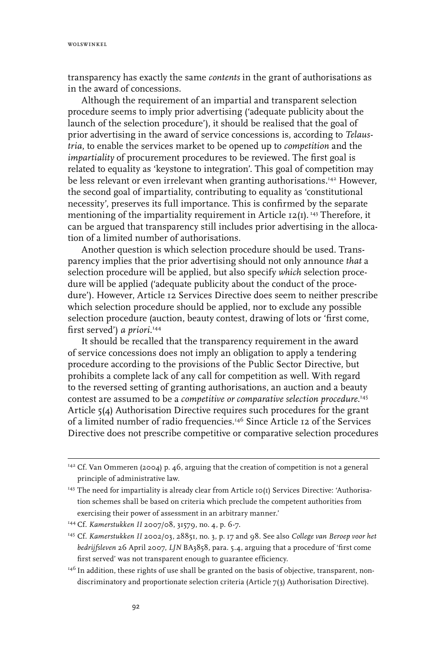transparency has exactly the same *contents* in the grant of authorisations as in the award of concessions.

Although the requirement of an impartial and transparent selection procedure seems to imply prior advertising ('adequate publicity about the launch of the selection procedure'), it should be realised that the goal of prior advertising in the award of service concessions is, according to *Telaustria*, to enable the services market to be opened up to *competition* and the *impartiality* of procurement procedures to be reviewed. The first goal is related to equality as 'keystone to integration'. This goal of competition may be less relevant or even irrelevant when granting authorisations.<sup>142</sup> However, the second goal of impartiality, contributing to equality as 'constitutional necessity', preserves its full importance. This is confirmed by the separate mentioning of the impartiality requirement in Article 12(I).<sup>143</sup> Therefore, it can be argued that transparency still includes prior advertising in the allocation of a limited number of authorisations.

Another question is which selection procedure should be used. Transparency implies that the prior advertising should not only announce *that* a selection procedure will be applied, but also specify *which* selection procedure will be applied ('adequate publicity about the conduct of the procedure'). However, Article 12 Services Directive does seem to neither prescribe which selection procedure should be applied, nor to exclude any possible selection procedure (auction, beauty contest, drawing of lots or 'first come, first served') *a priori*. 144

It should be recalled that the transparency requirement in the award of service concessions does not imply an obligation to apply a tendering procedure according to the provisions of the Public Sector Directive, but prohibits a complete lack of any call for competition as well. With regard to the reversed setting of granting authorisations, an auction and a beauty contest are assumed to be a *competitive or comparative selection procedure*. 145 Article 5(4) Authorisation Directive requires such procedures for the grant of a limited number of radio frequencies.146 Since Article 12 of the Services Directive does not prescribe competitive or comparative selection procedures

<sup>&</sup>lt;sup>142</sup> Cf. Van Ommeren (2004) p. 46, arguing that the creation of competition is not a general principle of administrative law.

<sup>&</sup>lt;sup>143</sup> The need for impartiality is already clear from Article 10(1) Services Directive: 'Authorisation schemes shall be based on criteria which preclude the competent authorities from exercising their power of assessment in an arbitrary manner.'

<sup>144</sup> Cf. *Kamerstukken II* 2007/08, 31579, no. 4, p. 6-7.

<sup>145</sup> Cf. *Kamerstukken II* 2002/03, 28851, no. 3, p. 17 and 98. See also *College van Beroep voor het bedrijfsleven* 26 April 2007, *LJN* BA3858, para. 5.4, arguing that a procedure of 'first come first served' was not transparent enough to guarantee efficiency.

<sup>&</sup>lt;sup>146</sup> In addition, these rights of use shall be granted on the basis of objective, transparent, nondiscriminatory and proportionate selection criteria (Article 7(3) Authorisation Directive).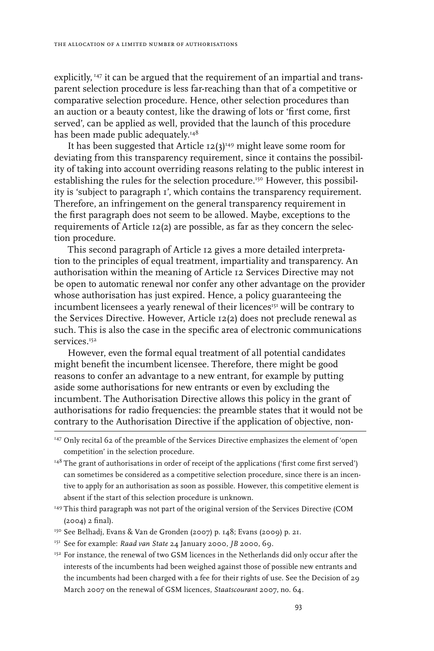explicitly, <sup>147</sup> it can be argued that the requirement of an impartial and transparent selection procedure is less far-reaching than that of a competitive or comparative selection procedure. Hence, other selection procedures than an auction or a beauty contest, like the drawing of lots or 'first come, first served', can be applied as well, provided that the launch of this procedure has been made public adequately.<sup>148</sup>

It has been suggested that Article  $12(3)^{149}$  might leave some room for deviating from this transparency requirement, since it contains the possibility of taking into account overriding reasons relating to the public interest in establishing the rules for the selection procedure.<sup>150</sup> However, this possibility is 'subject to paragraph 1', which contains the transparency requirement. Therefore, an infringement on the general transparency requirement in the first paragraph does not seem to be allowed. Maybe, exceptions to the requirements of Article 12(2) are possible, as far as they concern the selection procedure.

This second paragraph of Article 12 gives a more detailed interpretation to the principles of equal treatment, impartiality and transparency. An authorisation within the meaning of Article 12 Services Directive may not be open to automatic renewal nor confer any other advantage on the provider whose authorisation has just expired. Hence, a policy guaranteeing the incumbent licensees a yearly renewal of their licences151 will be contrary to the Services Directive. However, Article 12(2) does not preclude renewal as such. This is also the case in the specific area of electronic communications services<sup>152</sup>

However, even the formal equal treatment of all potential candidates might benefit the incumbent licensee. Therefore, there might be good reasons to confer an advantage to a new entrant, for example by putting aside some authorisations for new entrants or even by excluding the incumbent. The Authorisation Directive allows this policy in the grant of authorisations for radio frequencies: the preamble states that it would not be contrary to the Authorisation Directive if the application of objective, non-

- $^{148}$  The grant of authorisations in order of receipt of the applications ('first come first served') can sometimes be considered as a competitive selection procedure, since there is an incentive to apply for an authorisation as soon as possible. However, this competitive element is absent if the start of this selection procedure is unknown.
- <sup>149</sup> This third paragraph was not part of the original version of the Services Directive (COM (2004) 2 final).
- <sup>150</sup> See Belhadj, Evans & Van de Gronden (2007) p. 148; Evans (2009) p. 21.
- <sup>151</sup> See for example: *Raad van State* 24 January 2000, *JB* 2000, 69.
- <sup>152</sup> For instance, the renewal of two GSM licences in the Netherlands did only occur after the interests of the incumbents had been weighed against those of possible new entrants and the incumbents had been charged with a fee for their rights of use. See the Decision of 29 March 2007 on the renewal of GSM licences, *Staatscourant* 2007, no. 64.

<sup>147</sup> Only recital 62 of the preamble of the Services Directive emphasizes the element of 'open competition' in the selection procedure.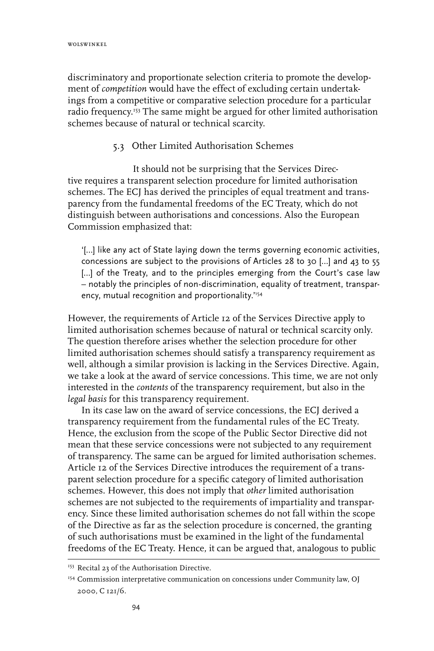discriminatory and proportionate selection criteria to promote the development of *competition* would have the effect of excluding certain undertakings from a competitive or comparative selection procedure for a particular radio frequency.153 The same might be argued for other limited authorisation schemes because of natural or technical scarcity.

#### 5.3 Other Limited Authorisation Schemes

It should not be surprising that the Services Directive requires a transparent selection procedure for limited authorisation schemes. The ECJ has derived the principles of equal treatment and transparency from the fundamental freedoms of the EC Treaty, which do not distinguish between authorisations and concessions. Also the European Commission emphasized that:

'[…] like any act of State laying down the terms governing economic activities, concessions are subject to the provisions of Articles 28 to 30 […] and 43 to 55 [...] of the Treaty, and to the principles emerging from the Court's case law – notably the principles of non-discrimination, equality of treatment, transparency, mutual recognition and proportionality.<sup>154</sup>

However, the requirements of Article 12 of the Services Directive apply to limited authorisation schemes because of natural or technical scarcity only. The question therefore arises whether the selection procedure for other limited authorisation schemes should satisfy a transparency requirement as well, although a similar provision is lacking in the Services Directive. Again, we take a look at the award of service concessions. This time, we are not only interested in the *contents* of the transparency requirement, but also in the *legal basis* for this transparency requirement.

In its case law on the award of service concessions, the ECJ derived a transparency requirement from the fundamental rules of the EC Treaty. Hence, the exclusion from the scope of the Public Sector Directive did not mean that these service concessions were not subjected to any requirement of transparency. The same can be argued for limited authorisation schemes. Article 12 of the Services Directive introduces the requirement of a transparent selection procedure for a specific category of limited authorisation schemes. However, this does not imply that *other* limited authorisation schemes are not subjected to the requirements of impartiality and transparency. Since these limited authorisation schemes do not fall within the scope of the Directive as far as the selection procedure is concerned, the granting of such authorisations must be examined in the light of the fundamental freedoms of the EC Treaty. Hence, it can be argued that, analogous to public

<sup>&</sup>lt;sup>153</sup> Recital 23 of the Authorisation Directive.

<sup>&</sup>lt;sup>154</sup> Commission interpretative communication on concessions under Community law, OJ 2000, C 121/6.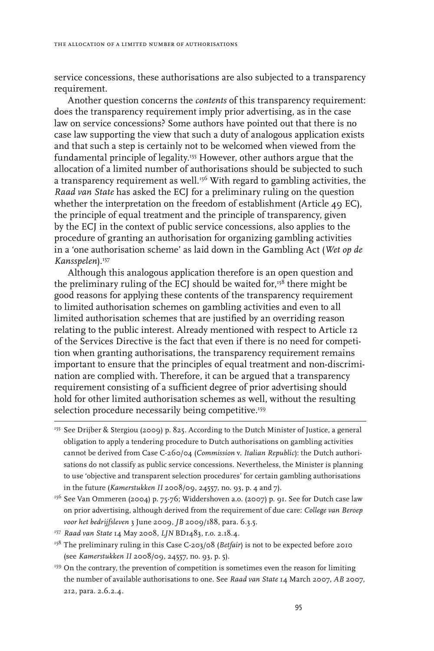service concessions, these authorisations are also subjected to a transparency requirement.

Another question concerns the *contents* of this transparency requirement: does the transparency requirement imply prior advertising, as in the case law on service concessions? Some authors have pointed out that there is no case law supporting the view that such a duty of analogous application exists and that such a step is certainly not to be welcomed when viewed from the fundamental principle of legality.155 However, other authors argue that the allocation of a limited number of authorisations should be subjected to such a transparency requirement as well. $156$  With regard to gambling activities, the *Raad van State* has asked the ECJ for a preliminary ruling on the question whether the interpretation on the freedom of establishment (Article 49 EC), the principle of equal treatment and the principle of transparency, given by the ECJ in the context of public service concessions, also applies to the procedure of granting an authorisation for organizing gambling activities in a 'one authorisation scheme' as laid down in the Gambling Act (*Wet op de Kansspelen*).157

Although this analogous application therefore is an open question and the preliminary ruling of the ECJ should be waited for,<sup>158</sup> there might be good reasons for applying these contents of the transparency requirement to limited authorisation schemes on gambling activities and even to all limited authorisation schemes that are justified by an overriding reason relating to the public interest. Already mentioned with respect to Article 12 of the Services Directive is the fact that even if there is no need for competition when granting authorisations, the transparency requirement remains important to ensure that the principles of equal treatment and non-discrimination are complied with. Therefore, it can be argued that a transparency requirement consisting of a sufficient degree of prior advertising should hold for other limited authorisation schemes as well, without the resulting selection procedure necessarily being competitive.<sup>159</sup>

- <sup>155</sup> See Drijber & Stergiou (2009) p. 825. According to the Dutch Minister of Justice, a general obligation to apply a tendering procedure to Dutch authorisations on gambling activities cannot be derived from Case C-260/04 (*Commission* v. *Italian Republic*): the Dutch authorisations do not classify as public service concessions. Nevertheless, the Minister is planning to use 'objective and transparent selection procedures' for certain gambling authorisations in the future (*Kamerstukken II* 2008/09, 24557, no. 93, p. 4 and 7).
- $156$  See Van Ommeren (2004) p. 75-76; Widdershoven a.o. (2007) p. 91. See for Dutch case law on prior advertising, although derived from the requirement of due care: *College van Beroep voor het bedrijfsleven* 3 June 2009, *JB* 2009/188, para. 6.3.5.
- 157 *Raad van State* 14 May 2008, *LJN* BD1483, r.o. 2.18.4.
- <sup>158</sup> The preliminary ruling in this Case C-203/08 (*Betfair*) is not to be expected before 2010 (see *Kamerstukken II* 2008/09, 24557, no. 93, p. 5).
- <sup>159</sup> On the contrary, the prevention of competition is sometimes even the reason for limiting the number of available authorisations to one. See *Raad van State* 14 March 2007, *AB* 2007, 212, para. 2.6.2.4.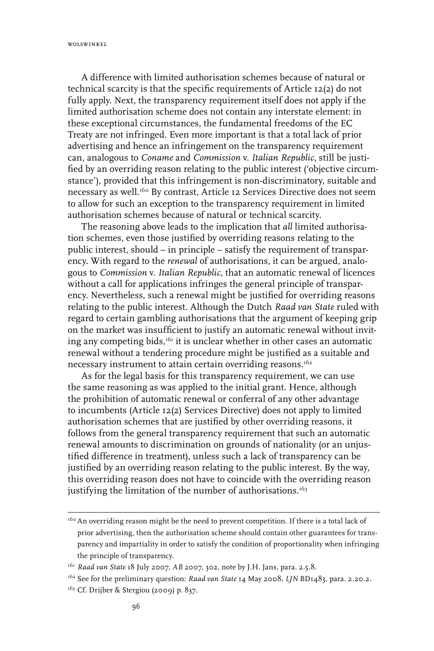A difference with limited authorisation schemes because of natural or technical scarcity is that the specific requirements of Article 12(2) do not fully apply. Next, the transparency requirement itself does not apply if the limited authorisation scheme does not contain any interstate element: in these exceptional circumstances, the fundamental freedoms of the EC Treaty are not infringed. Even more important is that a total lack of prior advertising and hence an infringement on the transparency requirement can, analogous to *Coname* and *Commission* v. *Italian Republic*, still be justified by an overriding reason relating to the public interest ('objective circumstance'), provided that this infringement is non-discriminatory, suitable and necessary as well.<sup>160</sup> By contrast, Article 12 Services Directive does not seem to allow for such an exception to the transparency requirement in limited authorisation schemes because of natural or technical scarcity.

The reasoning above leads to the implication that *all* limited authorisation schemes, even those justified by overriding reasons relating to the public interest, should – in principle – satisfy the requirement of transparency. With regard to the *renewal* of authorisations, it can be argued, analogous to *Commission* v. *Italian Republic*, that an automatic renewal of licences without a call for applications infringes the general principle of transparency. Nevertheless, such a renewal might be justified for overriding reasons relating to the public interest. Although the Dutch *Raad van State* ruled with regard to certain gambling authorisations that the argument of keeping grip on the market was insufficient to justify an automatic renewal without inviting any competing bids,<sup>161</sup> it is unclear whether in other cases an automatic renewal without a tendering procedure might be justified as a suitable and necessary instrument to attain certain overriding reasons.<sup>162</sup>

As for the legal basis for this transparency requirement, we can use the same reasoning as was applied to the initial grant. Hence, although the prohibition of automatic renewal or conferral of any other advantage to incumbents (Article 12(2) Services Directive) does not apply to limited authorisation schemes that are justified by other overriding reasons, it follows from the general transparency requirement that such an automatic renewal amounts to discrimination on grounds of nationality (or an unjustified difference in treatment), unless such a lack of transparency can be justified by an overriding reason relating to the public interest. By the way, this overriding reason does not have to coincide with the overriding reason justifying the limitation of the number of authorisations.<sup>163</sup>

<sup>&</sup>lt;sup>160</sup> An overriding reason might be the need to prevent competition. If there is a total lack of prior advertising, then the authorisation scheme should contain other guarantees for transparency and impartiality in order to satisfy the condition of proportionality when infringing the principle of transparency.

<sup>&</sup>lt;sup>161</sup> *Raad van State* 18 July 2007, AB 2007, 302, note by J.H. Jans, para. 2.5.8.

<sup>&</sup>lt;sup>162</sup> See for the preliminary question: *Raad van State* 14 May 2008, *LJN* BD1483, para. 2.20.2.

<sup>&</sup>lt;sup>163</sup> Cf. Drijber & Stergiou (2009) p. 837.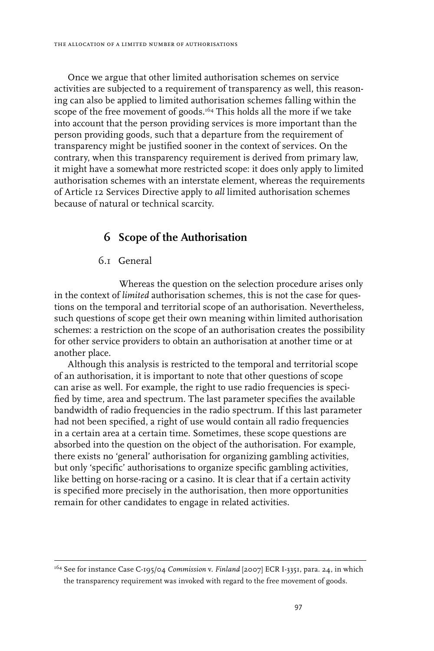Once we argue that other limited authorisation schemes on service activities are subjected to a requirement of transparency as well, this reasoning can also be applied to limited authorisation schemes falling within the scope of the free movement of goods.164 This holds all the more if we take into account that the person providing services is more important than the person providing goods, such that a departure from the requirement of transparency might be justified sooner in the context of services. On the contrary, when this transparency requirement is derived from primary law, it might have a somewhat more restricted scope: it does only apply to limited authorisation schemes with an interstate element, whereas the requirements of Article 12 Services Directive apply to *all* limited authorisation schemes because of natural or technical scarcity.

# **6 Scope of the Authorisation**

6.1 General

Whereas the question on the selection procedure arises only in the context of *limited* authorisation schemes, this is not the case for questions on the temporal and territorial scope of an authorisation. Nevertheless, such questions of scope get their own meaning within limited authorisation schemes: a restriction on the scope of an authorisation creates the possibility for other service providers to obtain an authorisation at another time or at another place.

Although this analysis is restricted to the temporal and territorial scope of an authorisation, it is important to note that other questions of scope can arise as well. For example, the right to use radio frequencies is specified by time, area and spectrum. The last parameter specifies the available bandwidth of radio frequencies in the radio spectrum. If this last parameter had not been specified, a right of use would contain all radio frequencies in a certain area at a certain time. Sometimes, these scope questions are absorbed into the question on the object of the authorisation. For example, there exists no 'general' authorisation for organizing gambling activities, but only 'specific' authorisations to organize specific gambling activities, like betting on horse-racing or a casino. It is clear that if a certain activity is specified more precisely in the authorisation, then more opportunities remain for other candidates to engage in related activities.

<sup>164</sup> See for instance Case C-195/04 *Commission* v. *Finland* [2007] ECR I-3351, para. 24, in which the transparency requirement was invoked with regard to the free movement of goods.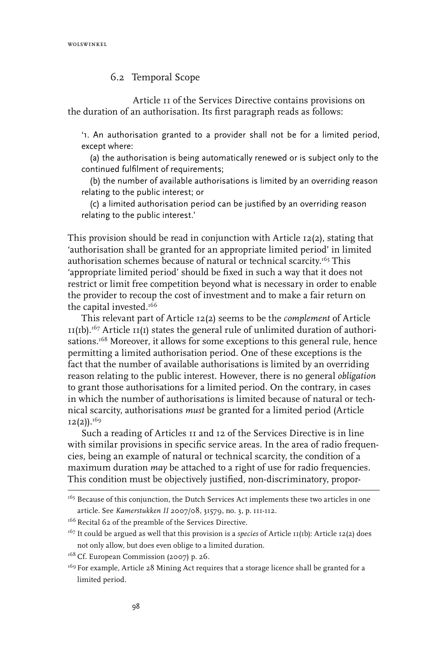#### 6.2 Temporal Scope

Article 11 of the Services Directive contains provisions on the duration of an authorisation. Its first paragraph reads as follows:

'1. An authorisation granted to a provider shall not be for a limited period, except where:

(a) the authorisation is being automatically renewed or is subject only to the continued fulfilment of requirements;

(b) the number of available authorisations is limited by an overriding reason relating to the public interest; or

(c) a limited authorisation period can be justified by an overriding reason relating to the public interest.'

This provision should be read in conjunction with Article 12(2), stating that 'authorisation shall be granted for an appropriate limited period' in limited authorisation schemes because of natural or technical scarcity.<sup>165</sup> This 'appropriate limited period' should be fixed in such a way that it does not restrict or limit free competition beyond what is necessary in order to enable the provider to recoup the cost of investment and to make a fair return on the capital invested.<sup>166</sup>

This relevant part of Article 12(2) seems to be the *complement* of Article  $11(1b)$ .<sup>167</sup> Article  $11(1)$  states the general rule of unlimited duration of authorisations.<sup>168</sup> Moreover, it allows for some exceptions to this general rule, hence permitting a limited authorisation period. One of these exceptions is the fact that the number of available authorisations is limited by an overriding reason relating to the public interest. However, there is no general *obligation* to grant those authorisations for a limited period. On the contrary, in cases in which the number of authorisations is limited because of natural or technical scarcity, authorisations *must* be granted for a limited period (Article  $12(2)$ ).<sup>169</sup>

Such a reading of Articles 11 and 12 of the Services Directive is in line with similar provisions in specific service areas. In the area of radio frequencies, being an example of natural or technical scarcity, the condition of a maximum duration *may* be attached to a right of use for radio frequencies. This condition must be objectively justified, non-discriminatory, propor-

<sup>&</sup>lt;sup>165</sup> Because of this conjunction, the Dutch Services Act implements these two articles in one article. See *Kamerstukken II* 2007/08, 31579, no. 3, p. 111-112.

 $166$  Recital 62 of the preamble of the Services Directive.

<sup>&</sup>lt;sup>167</sup> It could be argued as well that this provision is a *species* of Article 11(1b): Article 12(2) does not only allow, but does even oblige to a limited duration.

 $168$  Cf. European Commission (2007) p. 26.

<sup>&</sup>lt;sup>169</sup> For example, Article 28 Mining Act requires that a storage licence shall be granted for a limited period.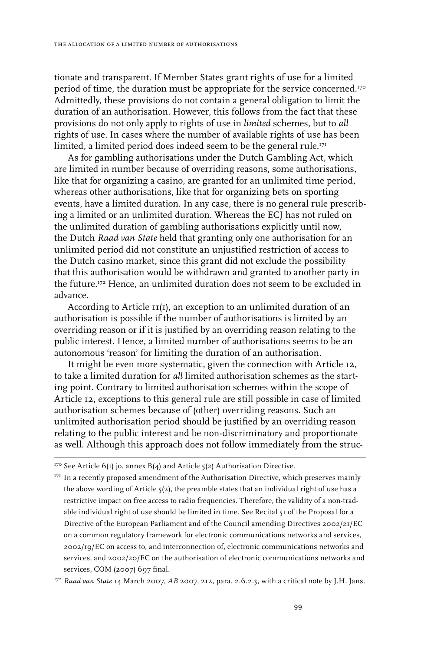tionate and transparent. If Member States grant rights of use for a limited period of time, the duration must be appropriate for the service concerned.170 Admittedly, these provisions do not contain a general obligation to limit the duration of an authorisation. However, this follows from the fact that these provisions do not only apply to rights of use in *limited* schemes, but to *all* rights of use. In cases where the number of available rights of use has been limited, a limited period does indeed seem to be the general rule.<sup>171</sup>

As for gambling authorisations under the Dutch Gambling Act, which are limited in number because of overriding reasons, some authorisations, like that for organizing a casino, are granted for an unlimited time period, whereas other authorisations, like that for organizing bets on sporting events, have a limited duration. In any case, there is no general rule prescribing a limited or an unlimited duration. Whereas the ECJ has not ruled on the unlimited duration of gambling authorisations explicitly until now, the Dutch *Raad van State* held that granting only one authorisation for an unlimited period did not constitute an unjustified restriction of access to the Dutch casino market, since this grant did not exclude the possibility that this authorisation would be withdrawn and granted to another party in the future.172 Hence, an unlimited duration does not seem to be excluded in advance.

According to Article 11(1), an exception to an unlimited duration of an authorisation is possible if the number of authorisations is limited by an overriding reason or if it is justified by an overriding reason relating to the public interest. Hence, a limited number of authorisations seems to be an autonomous 'reason' for limiting the duration of an authorisation.

It might be even more systematic, given the connection with Article 12, to take a limited duration for *all* limited authorisation schemes as the starting point. Contrary to limited authorisation schemes within the scope of Article 12, exceptions to this general rule are still possible in case of limited authorisation schemes because of (other) overriding reasons. Such an unlimited authorisation period should be justified by an overriding reason relating to the public interest and be non-discriminatory and proportionate as well. Although this approach does not follow immediately from the struc-

 $170$  See Article 6(1) jo. annex B(4) and Article 5(2) Authorisation Directive.

<sup>&</sup>lt;sup>171</sup> In a recently proposed amendment of the Authorisation Directive, which preserves mainly the above wording of Article 5(2), the preamble states that an individual right of use has a restrictive impact on free access to radio frequencies. Therefore, the validity of a non-tradable individual right of use should be limited in time. See Recital 51 of the Proposal for a Directive of the European Parliament and of the Council amending Directives 2002/21/EC on a common regulatory framework for electronic communications networks and services, 2002/19/EC on access to, and interconnection of, electronic communications networks and services, and 2002/20/EC on the authorisation of electronic communications networks and services, COM (2007) 697 final.

<sup>172</sup> *Raad van State* 14 March 2007, *AB* 2007, 212, para. 2.6.2.3, with a critical note by J.H. Jans.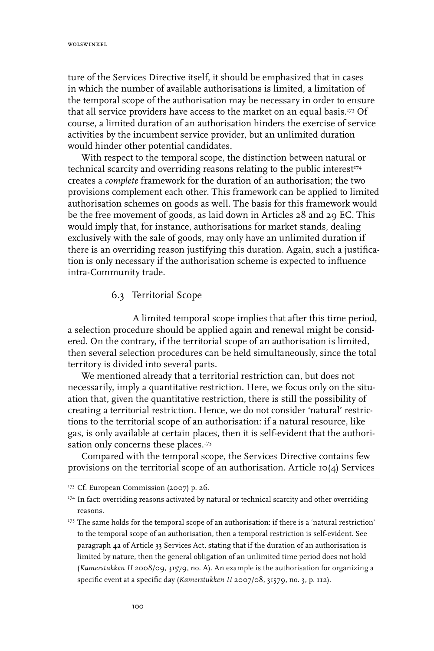ture of the Services Directive itself, it should be emphasized that in cases in which the number of available authorisations is limited, a limitation of the temporal scope of the authorisation may be necessary in order to ensure that all service providers have access to the market on an equal basis.173 Of course, a limited duration of an authorisation hinders the exercise of service activities by the incumbent service provider, but an unlimited duration would hinder other potential candidates.

With respect to the temporal scope, the distinction between natural or technical scarcity and overriding reasons relating to the public interest<sup>174</sup> creates a *complete* framework for the duration of an authorisation; the two provisions complement each other. This framework can be applied to limited authorisation schemes on goods as well. The basis for this framework would be the free movement of goods, as laid down in Articles 28 and 29 EC. This would imply that, for instance, authorisations for market stands, dealing exclusively with the sale of goods, may only have an unlimited duration if there is an overriding reason justifying this duration. Again, such a justification is only necessary if the authorisation scheme is expected to influence intra-Community trade.

#### 6.3 Territorial Scope

A limited temporal scope implies that after this time period, a selection procedure should be applied again and renewal might be considered. On the contrary, if the territorial scope of an authorisation is limited, then several selection procedures can be held simultaneously, since the total territory is divided into several parts.

We mentioned already that a territorial restriction can, but does not necessarily, imply a quantitative restriction. Here, we focus only on the situation that, given the quantitative restriction, there is still the possibility of creating a territorial restriction. Hence, we do not consider 'natural' restrictions to the territorial scope of an authorisation: if a natural resource, like gas, is only available at certain places, then it is self-evident that the authorisation only concerns these places.<sup>175</sup>

Compared with the temporal scope, the Services Directive contains few provisions on the territorial scope of an authorisation. Article 10(4) Services

<sup>&</sup>lt;sup>173</sup> Cf. European Commission (2007) p. 26.

<sup>174</sup> In fact: overriding reasons activated by natural or technical scarcity and other overriding reasons.

<sup>&</sup>lt;sup>175</sup> The same holds for the temporal scope of an authorisation: if there is a 'natural restriction' to the temporal scope of an authorisation, then a temporal restriction is self-evident. See paragraph 4a of Article 33 Services Act, stating that if the duration of an authorisation is limited by nature, then the general obligation of an unlimited time period does not hold (*Kamerstukken II* 2008/09, 31579, no. A). An example is the authorisation for organizing a specific event at a specific day (*Kamerstukken II* 2007/08, 31579, no. 3, p. 112).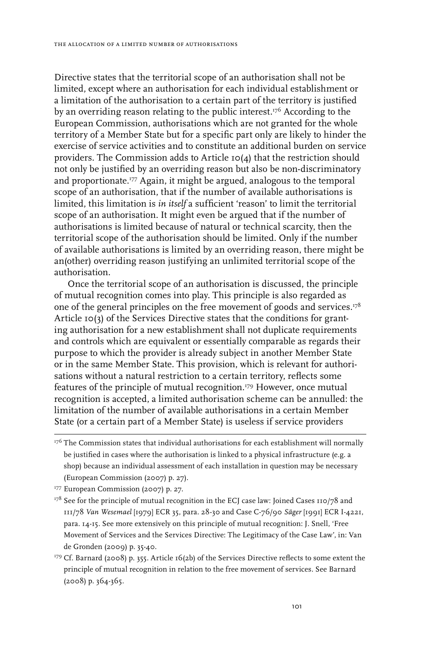Directive states that the territorial scope of an authorisation shall not be limited, except where an authorisation for each individual establishment or a limitation of the authorisation to a certain part of the territory is justified by an overriding reason relating to the public interest.<sup>176</sup> According to the European Commission, authorisations which are not granted for the whole territory of a Member State but for a specific part only are likely to hinder the exercise of service activities and to constitute an additional burden on service providers. The Commission adds to Article 10(4) that the restriction should not only be justified by an overriding reason but also be non-discriminatory and proportionate.<sup>177</sup> Again, it might be argued, analogous to the temporal scope of an authorisation, that if the number of available authorisations is limited, this limitation is *in itself* a sufficient 'reason' to limit the territorial scope of an authorisation. It might even be argued that if the number of authorisations is limited because of natural or technical scarcity, then the territorial scope of the authorisation should be limited. Only if the number of available authorisations is limited by an overriding reason, there might be an(other) overriding reason justifying an unlimited territorial scope of the authorisation.

Once the territorial scope of an authorisation is discussed, the principle of mutual recognition comes into play. This principle is also regarded as one of the general principles on the free movement of goods and services.<sup>178</sup> Article 10(3) of the Services Directive states that the conditions for granting authorisation for a new establishment shall not duplicate requirements and controls which are equivalent or essentially comparable as regards their purpose to which the provider is already subject in another Member State or in the same Member State. This provision, which is relevant for authorisations without a natural restriction to a certain territory, reflects some features of the principle of mutual recognition.<sup>179</sup> However, once mutual recognition is accepted, a limited authorisation scheme can be annulled: the limitation of the number of available authorisations in a certain Member State (or a certain part of a Member State) is useless if service providers

 $176$  The Commission states that individual authorisations for each establishment will normally be justified in cases where the authorisation is linked to a physical infrastructure (e.g. a shop) because an individual assessment of each installation in question may be necessary (European Commission (2007) p. 27).

<sup>&</sup>lt;sup>177</sup> European Commission (2007) p. 27.

 $178$  See for the principle of mutual recognition in the ECJ case law: Joined Cases 110/78 and 111/78 *Van Wesemael* [1979] ECR 35, para. 28-30 and Case C-76/90 *Säger* [1991] ECR I-4221, para. 14-15. See more extensively on this principle of mutual recognition: J. Snell, 'Free Movement of Services and the Services Directive: The Legitimacy of the Case Law', in: Van de Gronden (2009) p. 35-40.

<sup>179</sup> Cf. Barnard (2008) p. 355. Article 16(2b) of the Services Directive reflects to some extent the principle of mutual recognition in relation to the free movement of services. See Barnard (2008) p. 364-365.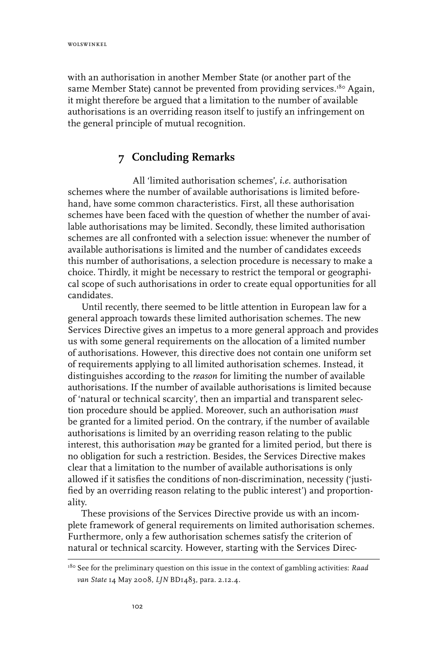with an authorisation in another Member State (or another part of the same Member State) cannot be prevented from providing services.<sup>180</sup> Again, it might therefore be argued that a limitation to the number of available authorisations is an overriding reason itself to justify an infringement on the general principle of mutual recognition.

# **7 Concluding Remarks**

All 'limited authorisation schemes', *i.e.* authorisation schemes where the number of available authorisations is limited beforehand, have some common characteristics. First, all these authorisation schemes have been faced with the question of whether the number of available authorisations may be limited. Secondly, these limited authorisation schemes are all confronted with a selection issue: whenever the number of available authorisations is limited and the number of candidates exceeds this number of authorisations, a selection procedure is necessary to make a choice. Thirdly, it might be necessary to restrict the temporal or geographical scope of such authorisations in order to create equal opportunities for all candidates.

Until recently, there seemed to be little attention in European law for a general approach towards these limited authorisation schemes. The new Services Directive gives an impetus to a more general approach and provides us with some general requirements on the allocation of a limited number of authorisations. However, this directive does not contain one uniform set of requirements applying to all limited authorisation schemes. Instead, it distinguishes according to the *reason* for limiting the number of available authorisations. If the number of available authorisations is limited because of 'natural or technical scarcity', then an impartial and transparent selection procedure should be applied. Moreover, such an authorisation *must* be granted for a limited period. On the contrary, if the number of available authorisations is limited by an overriding reason relating to the public interest, this authorisation *may* be granted for a limited period, but there is no obligation for such a restriction. Besides, the Services Directive makes clear that a limitation to the number of available authorisations is only allowed if it satisfies the conditions of non-discrimination, necessity ('justified by an overriding reason relating to the public interest') and proportionality.

These provisions of the Services Directive provide us with an incomplete framework of general requirements on limited authorisation schemes. Furthermore, only a few authorisation schemes satisfy the criterion of natural or technical scarcity. However, starting with the Services Direc-

<sup>&</sup>lt;sup>180</sup> See for the preliminary question on this issue in the context of gambling activities: *Raad van State* 14 May 2008, *LJN* BD1483, para. 2.12.4.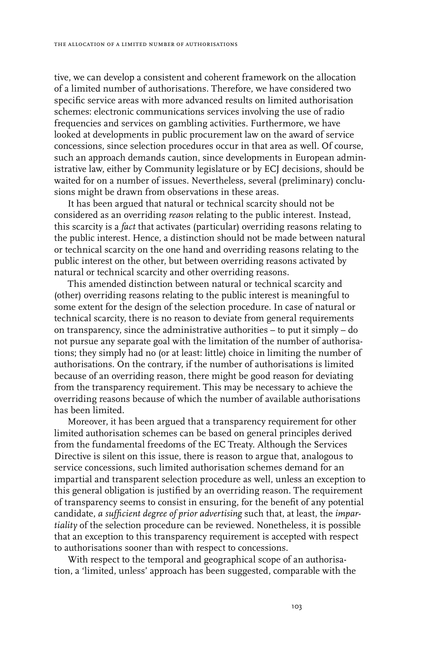tive, we can develop a consistent and coherent framework on the allocation of a limited number of authorisations. Therefore, we have considered two specific service areas with more advanced results on limited authorisation schemes: electronic communications services involving the use of radio frequencies and services on gambling activities. Furthermore, we have looked at developments in public procurement law on the award of service concessions, since selection procedures occur in that area as well. Of course, such an approach demands caution, since developments in European administrative law, either by Community legislature or by ECJ decisions, should be waited for on a number of issues. Nevertheless, several (preliminary) conclusions might be drawn from observations in these areas.

It has been argued that natural or technical scarcity should not be considered as an overriding *reason* relating to the public interest. Instead, this scarcity is a *fact* that activates (particular) overriding reasons relating to the public interest. Hence, a distinction should not be made between natural or technical scarcity on the one hand and overriding reasons relating to the public interest on the other, but between overriding reasons activated by natural or technical scarcity and other overriding reasons.

This amended distinction between natural or technical scarcity and (other) overriding reasons relating to the public interest is meaningful to some extent for the design of the selection procedure. In case of natural or technical scarcity, there is no reason to deviate from general requirements on transparency, since the administrative authorities – to put it simply – do not pursue any separate goal with the limitation of the number of authorisations; they simply had no (or at least: little) choice in limiting the number of authorisations. On the contrary, if the number of authorisations is limited because of an overriding reason, there might be good reason for deviating from the transparency requirement. This may be necessary to achieve the overriding reasons because of which the number of available authorisations has been limited.

Moreover, it has been argued that a transparency requirement for other limited authorisation schemes can be based on general principles derived from the fundamental freedoms of the EC Treaty. Although the Services Directive is silent on this issue, there is reason to argue that, analogous to service concessions, such limited authorisation schemes demand for an impartial and transparent selection procedure as well, unless an exception to this general obligation is justified by an overriding reason. The requirement of transparency seems to consist in ensuring, for the benefit of any potential candidate, *a sufficient degree of prior advertising* such that, at least, the *impartiality* of the selection procedure can be reviewed. Nonetheless, it is possible that an exception to this transparency requirement is accepted with respect to authorisations sooner than with respect to concessions.

With respect to the temporal and geographical scope of an authorisation, a 'limited, unless' approach has been suggested, comparable with the